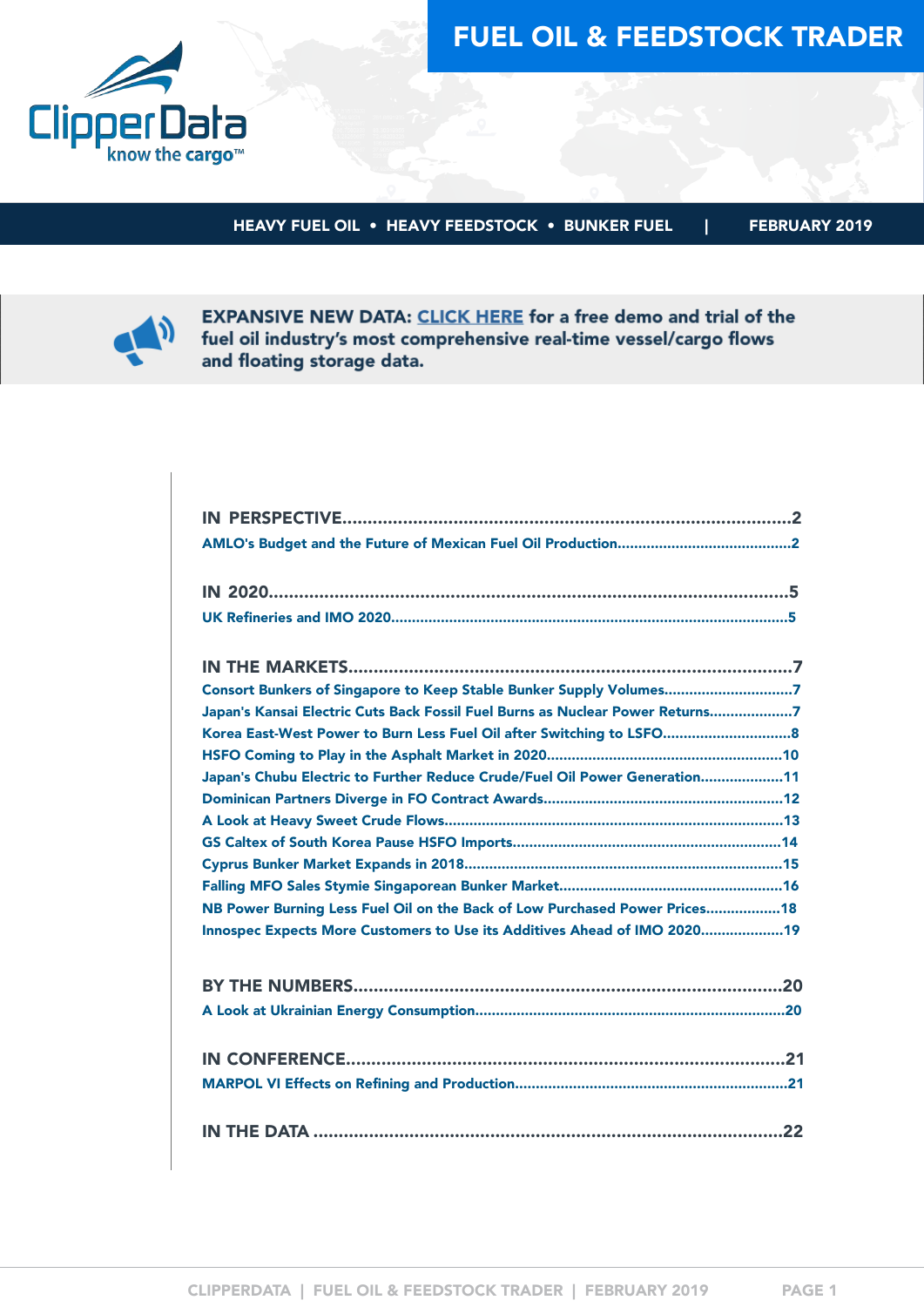



HEAVY FUEL OIL • HEAVY FEEDSTOCK • BUNKER FUEL | FEBRUARY 2019



**EXPANSIVE NEW DATA: CLICK HERE for a free demo and trial of the** fuel oil industry's most comprehensive real-time vessel/cargo flows and floating storage data.

| Consort Bunkers of Singapore to Keep Stable Bunker Supply Volumes7            |
|-------------------------------------------------------------------------------|
| Japan's Kansai Electric Cuts Back Fossil Fuel Burns as Nuclear Power Returns7 |
| Korea East-West Power to Burn Less Fuel Oil after Switching to LSFO 8         |
|                                                                               |
| Japan's Chubu Electric to Further Reduce Crude/Fuel Oil Power Generation11    |
|                                                                               |
|                                                                               |
|                                                                               |
|                                                                               |
|                                                                               |
| NB Power Burning Less Fuel Oil on the Back of Low Purchased Power Prices 18   |
| Innospec Expects More Customers to Use its Additives Ahead of IMO 2020 19     |
|                                                                               |
|                                                                               |
|                                                                               |
|                                                                               |
|                                                                               |
|                                                                               |
|                                                                               |
|                                                                               |
|                                                                               |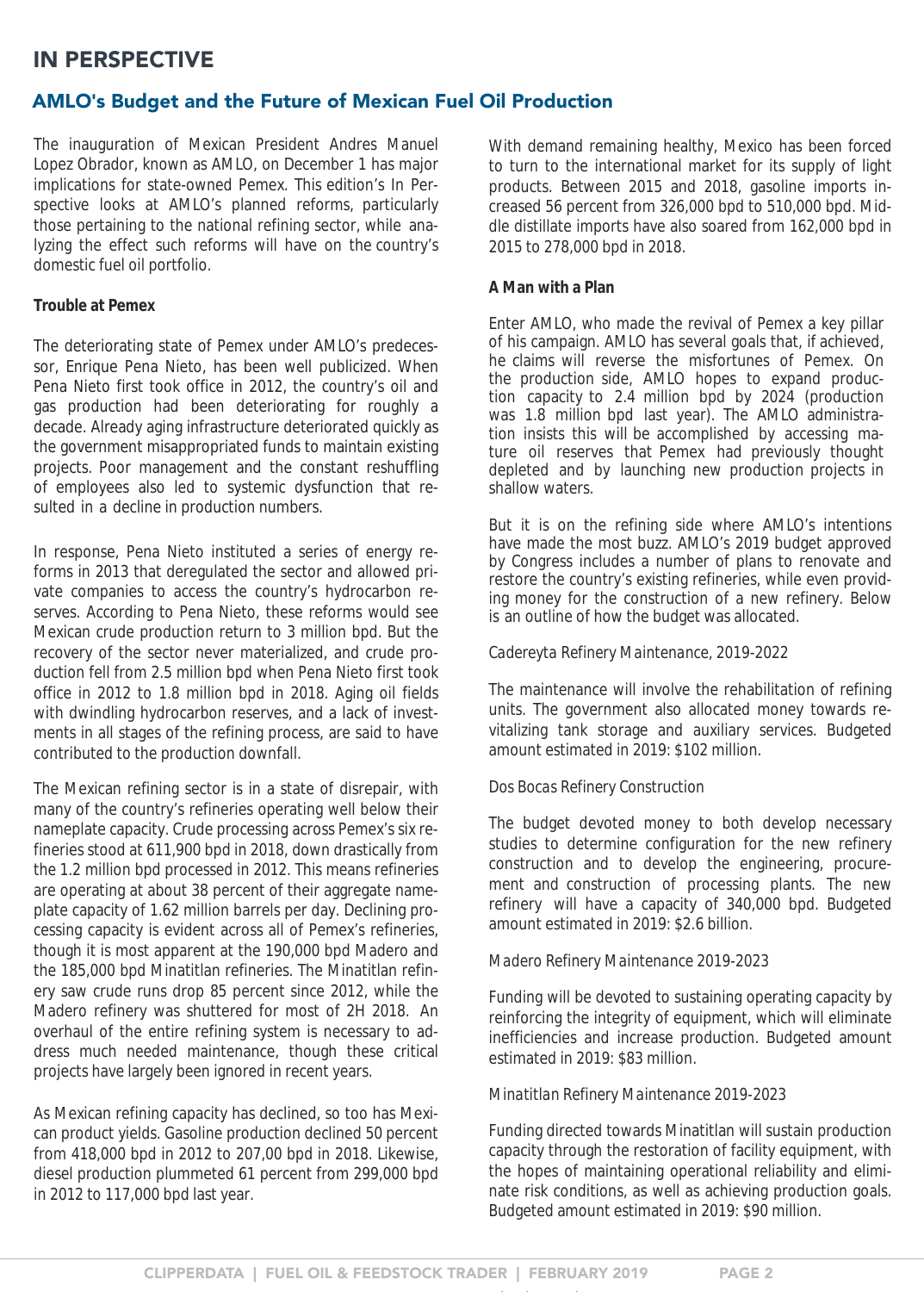## <span id="page-1-0"></span>IN PERSPECTIVE

### AMLO**'**s Budget and the Future of Mexican Fuel Oil Production

The inauguration of Mexican President Andres Manuel Lopez Obrador, known as AMLO, on December 1 has major implications for state-owned Pemex. This edition's In Perspective looks at AMLO's planned reforms, particularly those pertaining to the national refining sector, while analyzing the effect such reforms will have on the country's domestic fuel oil portfolio.

#### **Trouble at Pemex**

The deteriorating state of Pemex under AMLO's predecessor, Enrique Pena Nieto, has been well publicized. When Pena Nieto first took office in 2012, the country's oil and gas production had been deteriorating for roughly a decade. Already aging infrastructure deteriorated quickly as the government misappropriated funds to maintain existing projects. Poor management and the constant reshuffling of employees also led to systemic dysfunction that resulted in a decline in production numbers.

In response, Pena Nieto instituted a series of energy reforms in 2013 that deregulated the sector and allowed private companies to access the country's hydrocarbon reserves. According to Pena Nieto, these reforms would see Mexican crude production return to 3 million bpd. But the recovery of the sector never materialized, and crude production fell from 2.5 million bpd when Pena Nieto first took office in 2012 to 1.8 million bpd in 2018. Aging oil fields with dwindling hydrocarbon reserves, and a lack of investments in all stages of the refining process, are said to have contributed to the production downfall.

The Mexican refining sector is in a state of disrepair, with many of the country's refineries operating well below their nameplate capacity. Crude processing across Pemex's six refineries stood at 611,900 bpd in 2018, down drastically from the 1.2 million bpd processed in 2012. This means refineries are operating at about 38 percent of their aggregate nameplate capacity of 1.62 million barrels per day. Declining processing capacity is evident across all of Pemex's refineries, though it is most apparent at the 190,000 bpd Madero and the 185,000 bpd Minatitlan refineries. The Minatitlan refinery saw crude runs drop 85 percent since 2012, while the Madero refinery was shuttered for most of 2H 2018. An overhaul of the entire refining system is necessary to address much needed maintenance, though these critical projects have largely been ignored in recent years.

As Mexican refining capacity has declined, so too has Mexican product yields. Gasoline production declined 50 percent from 418,000 bpd in 2012 to 207,00 bpd in 2018. Likewise, diesel production plummeted 61 percent from 299,000 bpd in 2012 to 117,000 bpd last year.

With demand remaining healthy, Mexico has been forced to turn to the international market for its supply of light products. Between 2015 and 2018, gasoline imports increased 56 percent from 326,000 bpd to 510,000 bpd. Middle distillate imports have also soared from 162,000 bpd in 2015 to 278,000 bpd in 2018.

#### **A Man with a Plan**

Enter AMLO, who made the revival of Pemex a key pillar of his campaign. AMLO has several goals that, if achieved, he claims will reverse the misfortunes of Pemex. On the production side, AMLO hopes to expand production capacity to 2.4 million bpd by 2024 (production was 1.8 million bpd last year). The AMLO administration insists this will be accomplished by accessing mature oil reserves that Pemex had previously thought depleted and by launching new production projects in shallow waters.

But it is on the refining side where AMLO's intentions have made the most buzz. AMLO's 2019 budget approved by Congress includes a number of plans to renovate and restore the country's existing refineries, while even providing money for the construction of a new refinery. Below is an outline of how the budget was allocated.

*Cadereyta Refinery Maintenance, 2019-2022*

The maintenance will involve the rehabilitation of refining units. The government also allocated money towards revitalizing tank storage and auxiliary services. Budgeted amount estimated in 2019: \$102 million.

*Dos Bocas Refinery Construction*

The budget devoted money to both develop necessary studies to determine configuration for the new refinery construction and to develop the engineering, procurement and construction of processing plants. The new refinery will have a capacity of 340,000 bpd. Budgeted amount estimated in 2019: \$2.6 billion.

*Madero Refinery Maintenance 2019-2023*

Funding will be devoted to sustaining operating capacity by reinforcing the integrity of equipment, which will eliminate inefficiencies and increase production. Budgeted amount estimated in 2019: \$83 million.

*Minatitlan Refinery Maintenance 2019-2023*

Funding directed towards Minatitlan will sustain production capacity through the restoration of facility equipment, with the hopes of maintaining operational reliability and eliminate risk conditions, as well as achieving production goals. Budgeted amount estimated in 2019: \$90 million.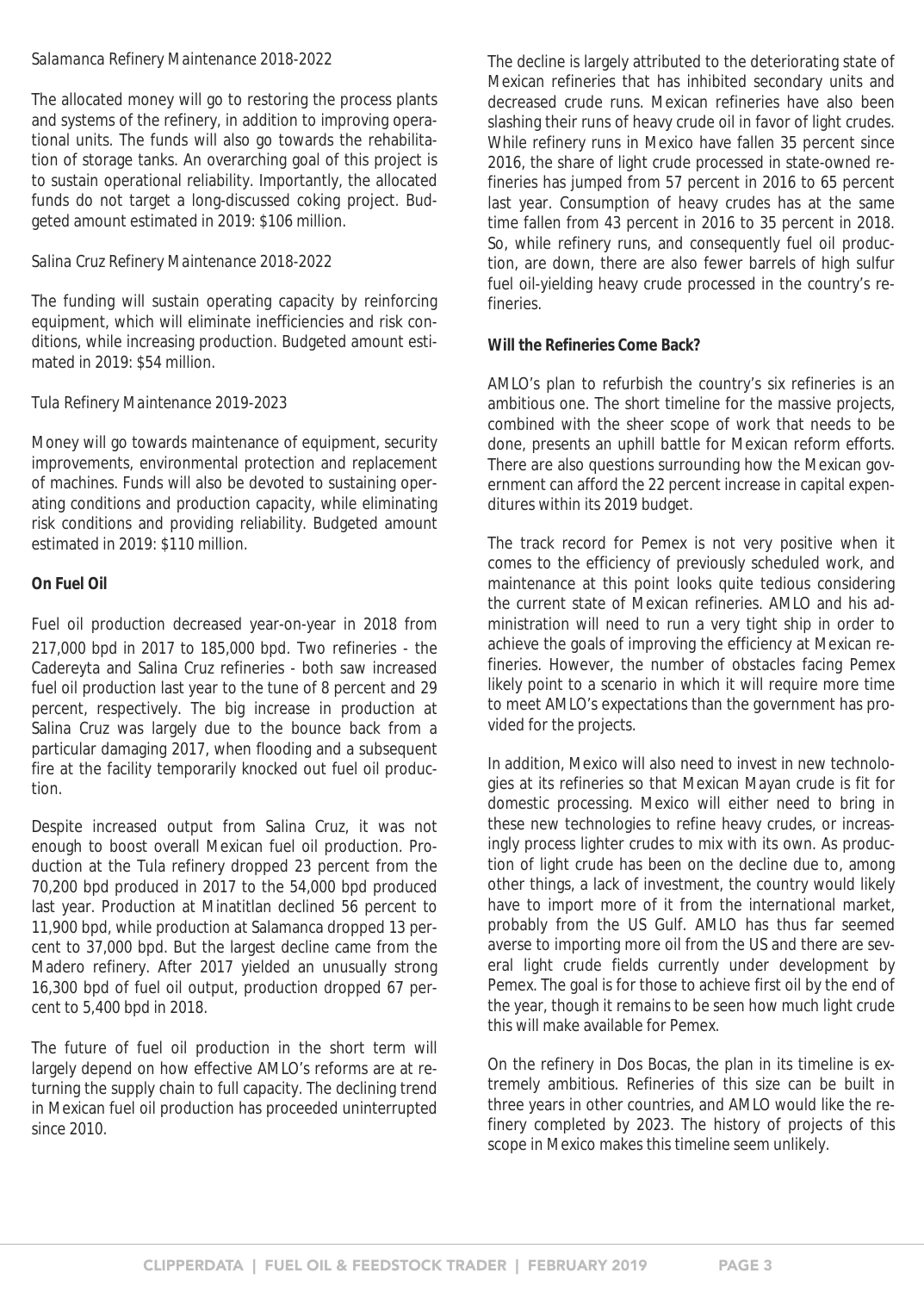#### *Salamanca Refinery Maintenance 2018-2022*

The allocated money will go to restoring the process plants and systems of the refinery, in addition to improving operational units. The funds will also go towards the rehabilitation of storage tanks. An overarching goal of this project is to sustain operational reliability. Importantly, the allocated funds do not target a long-discussed coking project. Budgeted amount estimated in 2019: \$106 million.

#### *Salina Cruz Refinery Maintenance 2018-2022*

The funding will sustain operating capacity by reinforcing equipment, which will eliminate inefficiencies and risk conditions, while increasing production. Budgeted amount estimated in 2019: \$54 million.

#### *Tula Refinery Maintenance 2019-2023*

Money will go towards maintenance of equipment, security improvements, environmental protection and replacement of machines. Funds will also be devoted to sustaining operating conditions and production capacity, while eliminating risk conditions and providing reliability. Budgeted amount estimated in 2019: \$110 million.

#### **On Fuel Oil**

Fuel oil production decreased year-on-year in 2018 from 217,000 bpd in 2017 to 185,000 bpd. Two refineries - the Cadereyta and Salina Cruz refineries - both saw increased fuel oil production last year to the tune of 8 percent and 29 percent, respectively. The big increase in production at Salina Cruz was largely due to the bounce back from a particular damaging 2017, when flooding and a subsequent fire at the facility temporarily knocked out fuel oil production.

Despite increased output from Salina Cruz, it was not enough to boost overall Mexican fuel oil production. Production at the Tula refinery dropped 23 percent from the 70,200 bpd produced in 2017 to the 54,000 bpd produced last year. Production at Minatitlan declined 56 percent to 11,900 bpd, while production at Salamanca dropped 13 percent to 37,000 bpd. But the largest decline came from the Madero refinery. After 2017 yielded an unusually strong 16,300 bpd of fuel oil output, production dropped 67 percent to 5,400 bpd in 2018.

The future of fuel oil production in the short term will largely depend on how effective AMLO's reforms are at returning the supply chain to full capacity. The declining trend in Mexican fuel oil production has proceeded uninterrupted since 2010.

The decline is largely attributed to the deteriorating state of Mexican refineries that has inhibited secondary units and decreased crude runs. Mexican refineries have also been slashing their runs of heavy crude oil in favor of light crudes. While refinery runs in Mexico have fallen 35 percent since 2016, the share of light crude processed in state-owned refineries has jumped from 57 percent in 2016 to 65 percent last year. Consumption of heavy crudes has at the same time fallen from 43 percent in 2016 to 35 percent in 2018. So, while refinery runs, and consequently fuel oil production, are down, there are also fewer barrels of high sulfur fuel oil-yielding heavy crude processed in the country's refineries.

**Will the Refineries Come Back?**

AMLO's plan to refurbish the country's six refineries is an ambitious one. The short timeline for the massive projects, combined with the sheer scope of work that needs to be done, presents an uphill battle for Mexican reform efforts. There are also questions surrounding how the Mexican government can afford the 22 percent increase in capital expenditures within its 2019 budget.

The track record for Pemex is not very positive when it comes to the efficiency of previously scheduled work, and maintenance at this point looks quite tedious considering the current state of Mexican refineries. AMLO and his administration will need to run a very tight ship in order to achieve the goals of improving the efficiency at Mexican refineries. However, the number of obstacles facing Pemex likely point to a scenario in which it will require more time to meet AMLO's expectations than the government has provided for the projects.

In addition, Mexico will also need to invest in new technologies at its refineries so that Mexican Mayan crude is fit for domestic processing. Mexico will either need to bring in these new technologies to refine heavy crudes, or increasingly process lighter crudes to mix with its own. As production of light crude has been on the decline due to, among other things, a lack of investment, the country would likely have to import more of it from the international market, probably from the US Gulf. AMLO has thus far seemed averse to importing more oil from the US and there are several light crude fields currently under development by Pemex. The goal is for those to achieve first oil by the end of the year, though it remains to be seen how much light crude this will make available for Pemex.

On the refinery in Dos Bocas, the plan in its timeline is extremely ambitious. Refineries of this size can be built in three years in other countries, and AMLO would like the refinery completed by 2023. The history of projects of this scope in Mexico makes this timeline seem unlikely.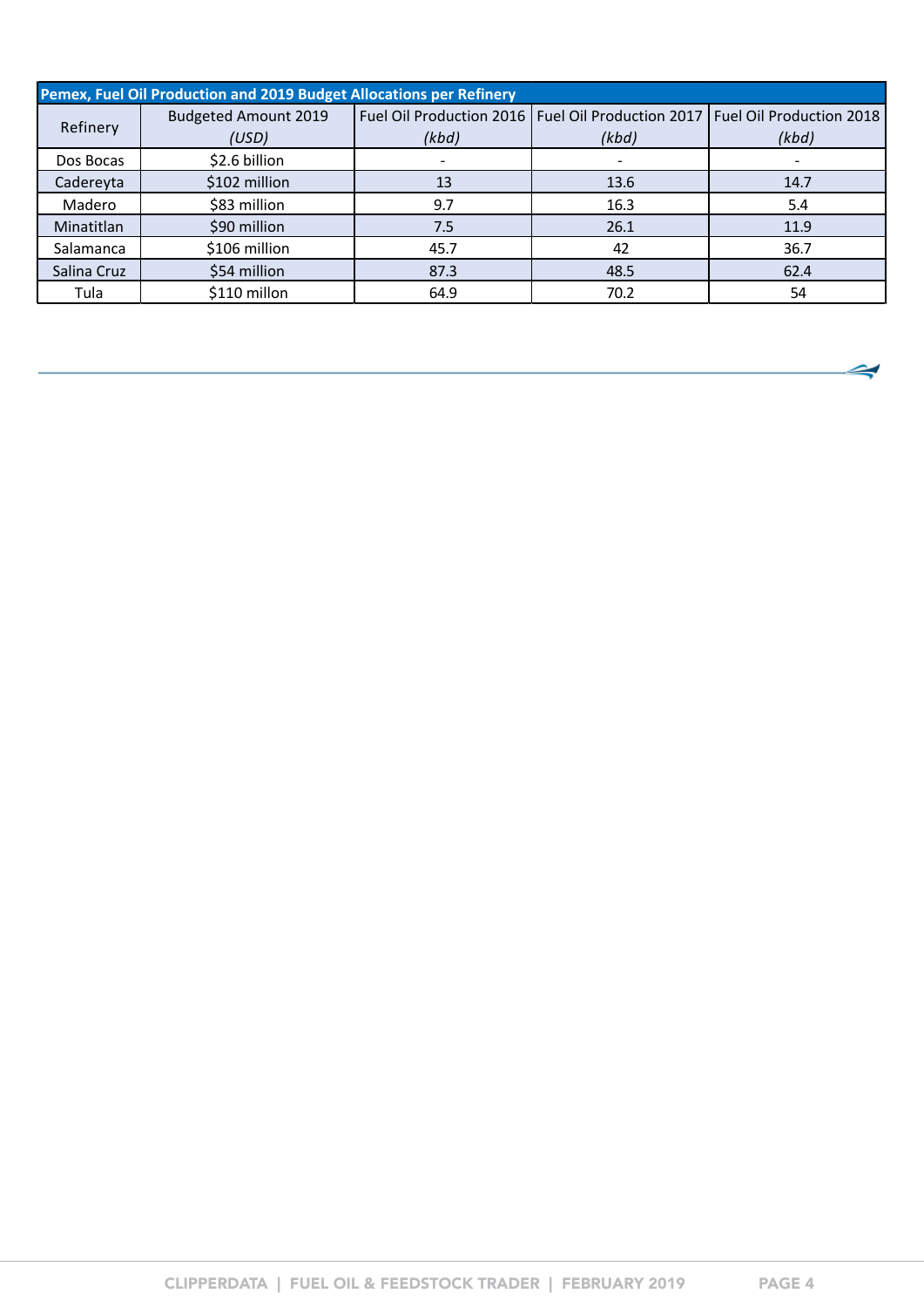|             | Pemex, Fuel Oil Production and 2019 Budget Allocations per Refinery |       |                                                                                |       |  |  |  |  |  |  |
|-------------|---------------------------------------------------------------------|-------|--------------------------------------------------------------------------------|-------|--|--|--|--|--|--|
|             | <b>Budgeted Amount 2019</b>                                         |       | Fuel Oil Production 2016   Fuel Oil Production 2017   Fuel Oil Production 2018 |       |  |  |  |  |  |  |
| Refinery    | (USD)                                                               | (kbd) | (kbd)                                                                          | (kbd) |  |  |  |  |  |  |
| Dos Bocas   | \$2.6 billion                                                       |       |                                                                                |       |  |  |  |  |  |  |
| Cadereyta   | \$102 million                                                       | 13    | 13.6                                                                           | 14.7  |  |  |  |  |  |  |
| Madero      | \$83 million                                                        | 9.7   | 16.3                                                                           | 5.4   |  |  |  |  |  |  |
| Minatitlan  | \$90 million                                                        | 7.5   | 26.1                                                                           | 11.9  |  |  |  |  |  |  |
| Salamanca   | \$106 million                                                       | 45.7  | 42                                                                             | 36.7  |  |  |  |  |  |  |
| Salina Cruz | \$54 million                                                        | 87.3  | 48.5                                                                           | 62.4  |  |  |  |  |  |  |
| Tula        | \$110 millon                                                        | 64.9  | 70.2                                                                           | 54    |  |  |  |  |  |  |

◅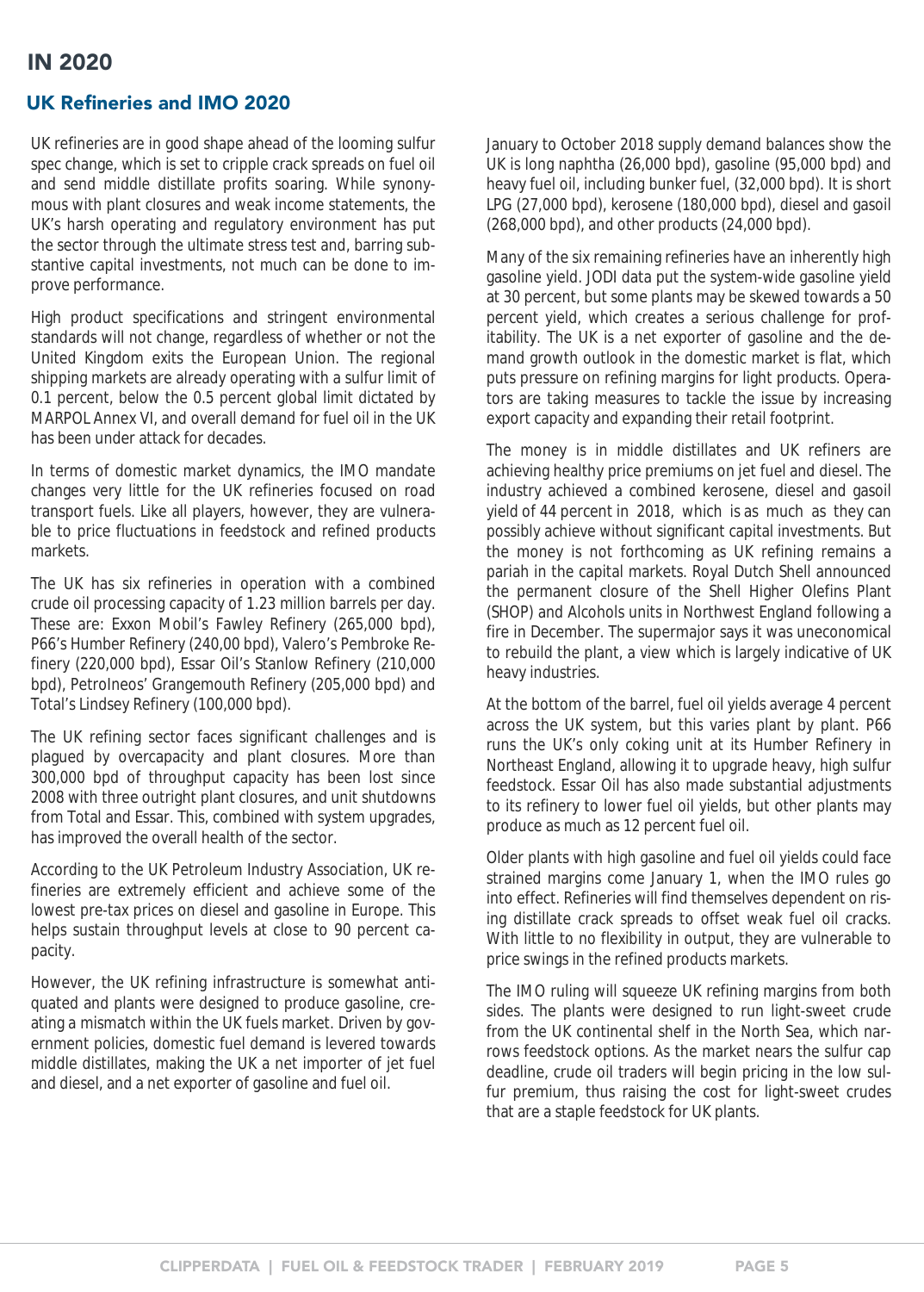### <span id="page-4-0"></span>UK Refineries and IMO 2020

UK refineries are in good shape ahead of the looming sulfur spec change, which is set to cripple crack spreads on fuel oil and send middle distillate profits soaring. While synonymous with plant closures and weak income statements, the UK's harsh operating and regulatory environment has put the sector through the ultimate stress test and, barring substantive capital investments, not much can be done to improve performance.

High product specifications and stringent environmental standards will not change, regardless of whether or not the United Kingdom exits the European Union. The regional shipping markets are already operating with a sulfur limit of 0.1 percent, below the 0.5 percent global limit dictated by MARPOL Annex VI, and overall demand for fuel oil in the UK has been under attack for decades.

In terms of domestic market dynamics, the IMO mandate changes very little for the UK refineries focused on road transport fuels. Like all players, however, they are vulnerable to price fluctuations in feedstock and refined products markets.

The UK has six refineries in operation with a combined crude oil processing capacity of 1.23 million barrels per day. These are: Exxon Mobil's Fawley Refinery (265,000 bpd), P66's Humber Refinery (240,00 bpd), Valero's Pembroke Refinery (220,000 bpd), Essar Oil's Stanlow Refinery (210,000 bpd), PetroIneos' Grangemouth Refinery (205,000 bpd) and Total's Lindsey Refinery (100,000 bpd).

The UK refining sector faces significant challenges and is plagued by overcapacity and plant closures. More than 300,000 bpd of throughput capacity has been lost since 2008 with three outright plant closures, and unit shutdowns from Total and Essar. This, combined with system upgrades, has improved the overall health of the sector.

According to the UK Petroleum Industry Association, UK refineries are extremely efficient and achieve some of the lowest pre-tax prices on diesel and gasoline in Europe. This helps sustain throughput levels at close to 90 percent capacity.

However, the UK refining infrastructure is somewhat antiquated and plants were designed to produce gasoline, creating a mismatch within the UK fuels market. Driven by government policies, domestic fuel demand is levered towards middle distillates, making the UK a net importer of jet fuel and diesel, and a net exporter of gasoline and fuel oil.

January to October 2018 supply demand balances show the UK is long naphtha (26,000 bpd), gasoline (95,000 bpd) and heavy fuel oil, including bunker fuel, (32,000 bpd). It is short LPG (27,000 bpd), kerosene (180,000 bpd), diesel and gasoil (268,000 bpd), and other products (24,000 bpd).

Many of the six remaining refineries have an inherently high gasoline yield. JODI data put the system-wide gasoline yield at 30 percent, but some plants may be skewed towards a 50 percent yield, which creates a serious challenge for profitability. The UK is a net exporter of gasoline and the demand growth outlook in the domestic market is flat, which puts pressure on refining margins for light products. Operators are taking measures to tackle the issue by increasing export capacity and expanding their retail footprint.

The money is in middle distillates and UK refiners are achieving healthy price premiums on jet fuel and diesel. The industry achieved a combined kerosene, diesel and gasoil yield of 44 percent in 2018, which is as much as they can possibly achieve without significant capital investments. But the money is not forthcoming as UK refining remains a pariah in the capital markets. Royal Dutch Shell announced the permanent closure of the Shell Higher Olefins Plant (SHOP) and Alcohols units in Northwest England following a fire in December. The supermajor says it was uneconomical to rebuild the plant, a view which is largely indicative of UK heavy industries.

At the bottom of the barrel, fuel oil yields average 4 percent across the UK system, but this varies plant by plant. P66 runs the UK's only coking unit at its Humber Refinery in Northeast England, allowing it to upgrade heavy, high sulfur feedstock. Essar Oil has also made substantial adjustments to its refinery to lower fuel oil yields, but other plants may produce as much as 12 percent fuel oil.

Older plants with high gasoline and fuel oil yields could face strained margins come January 1, when the IMO rules go into effect. Refineries will find themselves dependent on rising distillate crack spreads to offset weak fuel oil cracks. With little to no flexibility in output, they are vulnerable to price swings in the refined products markets.

The IMO ruling will squeeze UK refining margins from both sides. The plants were designed to run light-sweet crude from the UK continental shelf in the North Sea, which narrows feedstock options. As the market nears the sulfur cap deadline, crude oil traders will begin pricing in the low sulfur premium, thus raising the cost for light-sweet crudes that are a staple feedstock for UK plants.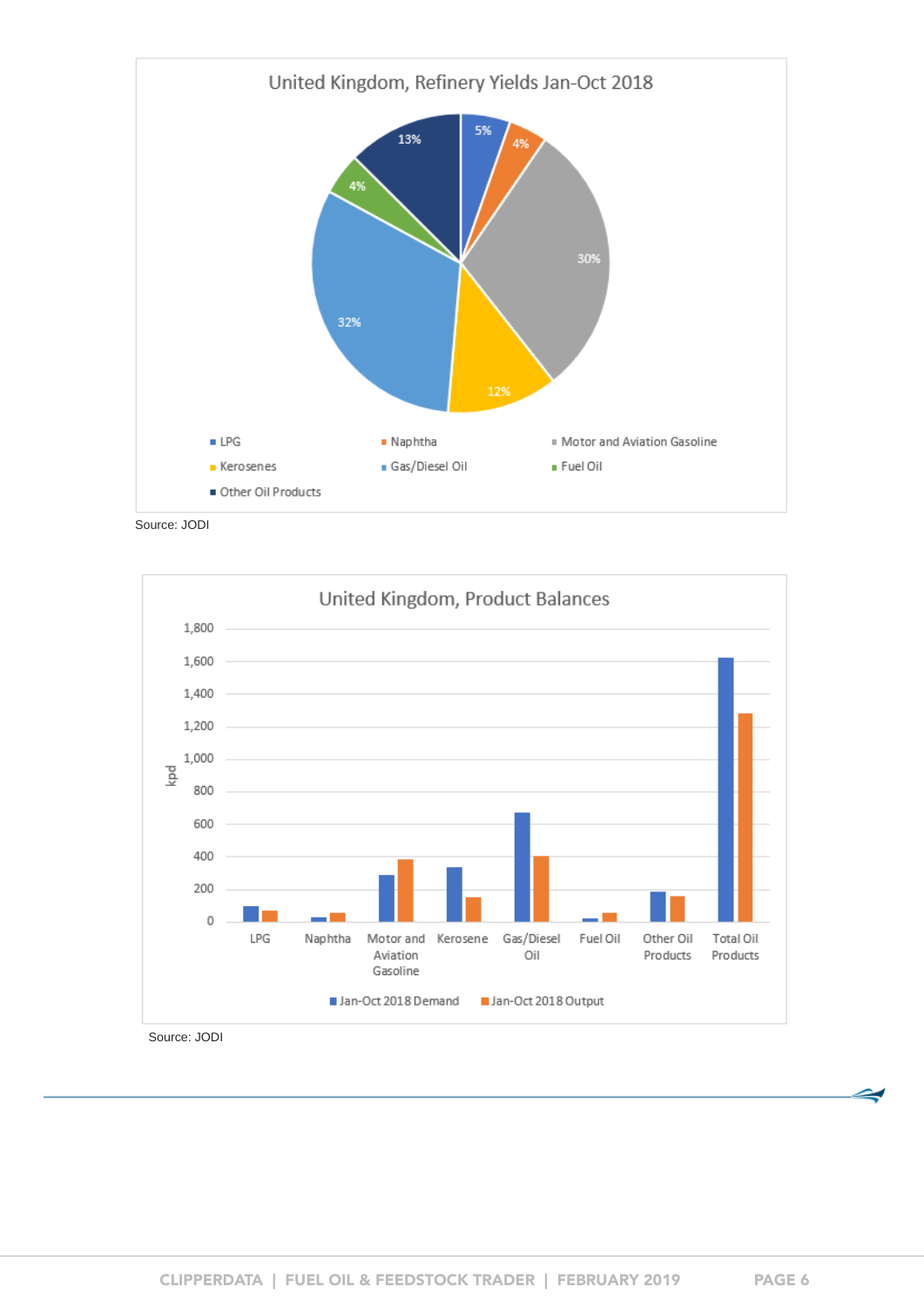

Source: JODI



Source: JODI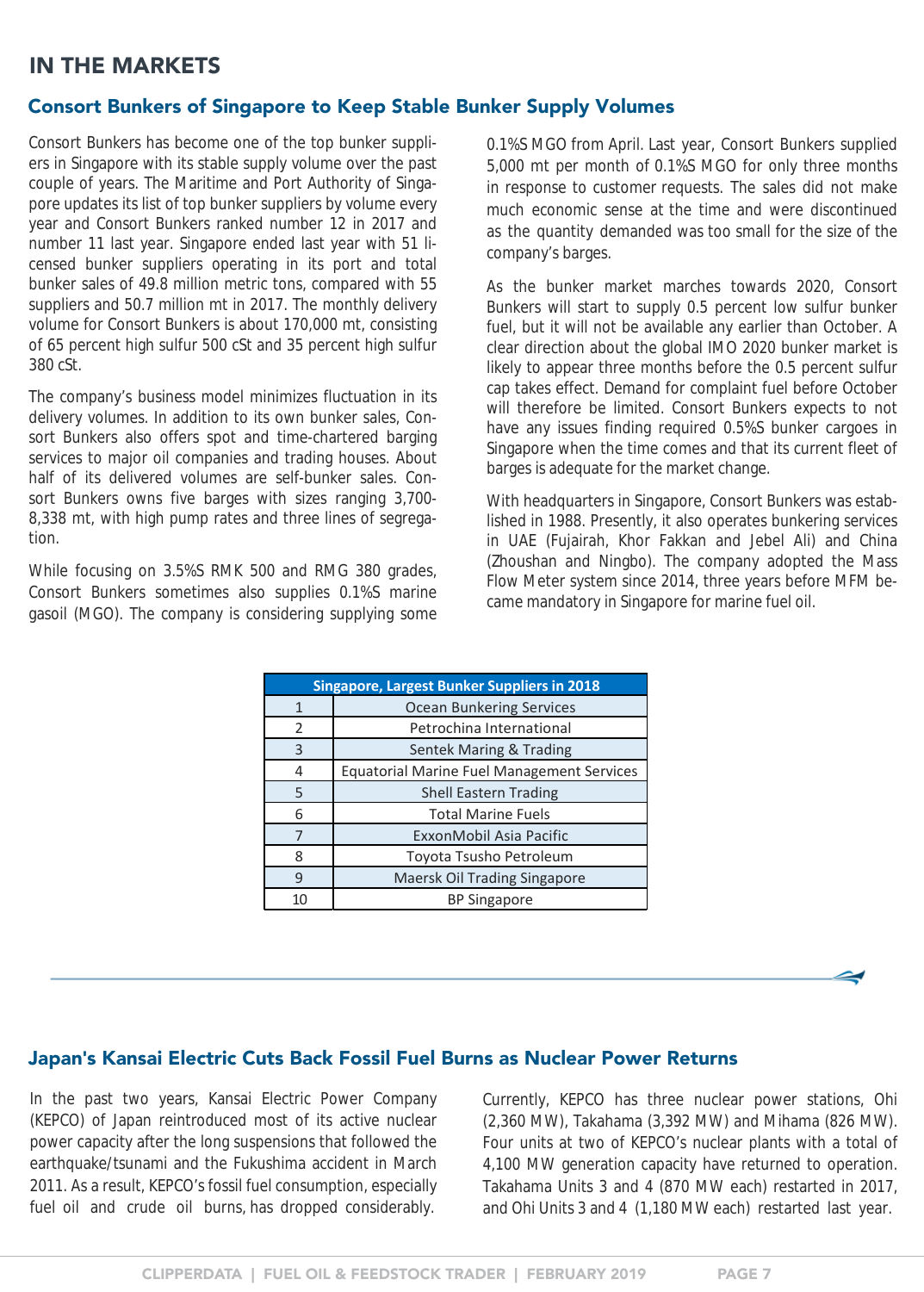## <span id="page-6-0"></span>IN THE MARKETS

### Consort Bunkers of Singapore to Keep Stable Bunker Supply Volumes

Consort Bunkers has become one of the top bunker suppliers in Singapore with its stable supply volume over the past couple of years. The Maritime and Port Authority of Singapore updates its list of top bunker suppliers by volume every year and Consort Bunkers ranked number 12 in 2017 and number 11 last year. Singapore ended last year with 51 licensed bunker suppliers operating in its port and total bunker sales of 49.8 million metric tons, compared with 55 suppliers and 50.7 million mt in 2017. The monthly delivery volume for Consort Bunkers is about 170,000 mt, consisting of 65 percent high sulfur 500 cSt and 35 percent high sulfur 380 cSt.

The company's business model minimizes fluctuation in its delivery volumes. In addition to its own bunker sales, Consort Bunkers also offers spot and time-chartered barging services to major oil companies and trading houses. About half of its delivered volumes are self-bunker sales. Consort Bunkers owns five barges with sizes ranging 3,700- 8,338 mt, with high pump rates and three lines of segregation.

While focusing on 3.5%S RMK 500 and RMG 380 grades, Consort Bunkers sometimes also supplies 0.1%S marine gasoil (MGO). The company is considering supplying some 0.1%S MGO from April. Last year, Consort Bunkers supplied 5,000 mt per month of 0.1%S MGO for only three months in response to customer requests. The sales did not make much economic sense at the time and were discontinued as the quantity demanded was too small for the size of the company's barges.

As the bunker market marches towards 2020, Consort Bunkers will start to supply 0.5 percent low sulfur bunker fuel, but it will not be available any earlier than October. A clear direction about the global IMO 2020 bunker market is likely to appear three months before the 0.5 percent sulfur cap takes effect. Demand for complaint fuel before October will therefore be limited. Consort Bunkers expects to not have any issues finding required 0.5%S bunker cargoes in Singapore when the time comes and that its current fleet of barges is adequate for the market change.

With headquarters in Singapore, Consort Bunkers was established in 1988. Presently, it also operates bunkering services in UAE (Fujairah, Khor Fakkan and Jebel Ali) and China (Zhoushan and Ningbo). The company adopted the Mass Flow Meter system since 2014, three years before MFM became mandatory in Singapore for marine fuel oil.

| <b>Singapore, Largest Bunker Suppliers in 2018</b> |                                                   |  |  |  |  |  |  |
|----------------------------------------------------|---------------------------------------------------|--|--|--|--|--|--|
| 1                                                  | <b>Ocean Bunkering Services</b>                   |  |  |  |  |  |  |
| 2                                                  | Petrochina International                          |  |  |  |  |  |  |
| 3                                                  | Sentek Maring & Trading                           |  |  |  |  |  |  |
| 4                                                  | <b>Equatorial Marine Fuel Management Services</b> |  |  |  |  |  |  |
| 5                                                  | <b>Shell Eastern Trading</b>                      |  |  |  |  |  |  |
| 6                                                  | <b>Total Marine Fuels</b>                         |  |  |  |  |  |  |
|                                                    | ExxonMobil Asia Pacific                           |  |  |  |  |  |  |
| 8                                                  | Toyota Tsusho Petroleum                           |  |  |  |  |  |  |
| q                                                  | Maersk Oil Trading Singapore                      |  |  |  |  |  |  |
| 10                                                 | <b>BP Singapore</b>                               |  |  |  |  |  |  |

### Japan**'**s Kansai Electric Cuts Back Fossil Fuel Burns as Nuclear Power Returns

In the past two years, Kansai Electric Power Company (KEPCO) of Japan reintroduced most of its active nuclear power capacity after the long suspensions that followed the earthquake/tsunami and the Fukushima accident in March 2011. As a result, KEPCO's fossil fuel consumption, especially fuel oil and crude oil burns, has dropped considerably.

Currently, KEPCO has three nuclear power stations, Ohi (2,360 MW), Takahama (3,392 MW) and Mihama (826 MW). Four units at two of KEPCO's nuclear plants with a total of 4,100 MW generation capacity have returned to operation. Takahama Units 3 and 4 (870 MW each) restarted in 2017, and Ohi Units 3 and 4 (1,180 MW each) restarted last year.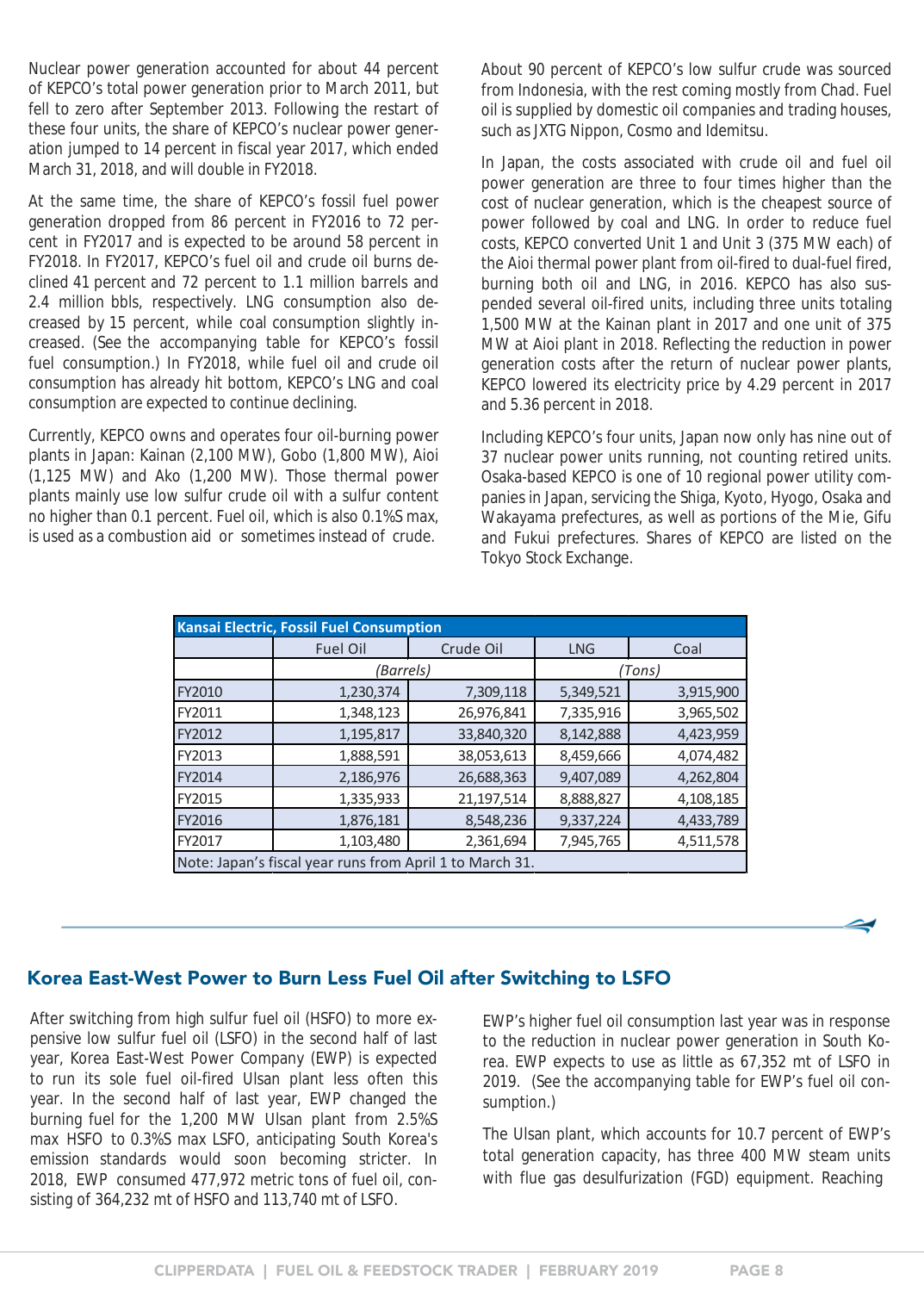<span id="page-7-0"></span>Nuclear power generation accounted for about 44 percent of KEPCO's total power generation prior to March 2011, but fell to zero after September 2013. Following the restart of these four units, the share of KEPCO's nuclear power generation jumped to 14 percent in fiscal year 2017, which ended March 31, 2018, and will double in FY2018.

At the same time, the share of KEPCO's fossil fuel power generation dropped from 86 percent in FY2016 to 72 percent in FY2017 and is expected to be around 58 percent in FY2018. In FY2017, KEPCO's fuel oil and crude oil burns declined 41 percent and 72 percent to 1.1 million barrels and 2.4 million bbls, respectively. LNG consumption also decreased by 15 percent, while coal consumption slightly increased. (See the accompanying table for KEPCO's fossil fuel consumption.) In FY2018, while fuel oil and crude oil consumption has already hit bottom, KEPCO's LNG and coal consumption are expected to continue declining.

Currently, KEPCO owns and operates four oil-burning power plants in Japan: Kainan (2,100 MW), Gobo (1,800 MW), Aioi (1,125 MW) and Ako (1,200 MW). Those thermal power plants mainly use low sulfur crude oil with a sulfur content no higher than 0.1 percent. Fuel oil, which is also 0.1%S max, is used as a combustion aid or sometimes instead of crude.

About 90 percent of KEPCO's low sulfur crude was sourced from Indonesia, with the rest coming mostly from Chad. Fuel oil is supplied by domestic oil companies and trading houses, such as JXTG Nippon, Cosmo and Idemitsu.

In Japan, the costs associated with crude oil and fuel oil power generation are three to four times higher than the cost of nuclear generation, which is the cheapest source of power followed by coal and LNG. In order to reduce fuel costs, KEPCO converted Unit 1 and Unit 3 (375 MW each) of the Aioi thermal power plant from oil-fired to dual-fuel fired, burning both oil and LNG, in 2016. KEPCO has also suspended several oil-fired units, including three units totaling 1,500 MW at the Kainan plant in 2017 and one unit of 375 MW at Aioi plant in 2018. Reflecting the reduction in power generation costs after the return of nuclear power plants, KEPCO lowered its electricity price by 4.29 percent in 2017 and 5.36 percent in 2018.

Including KEPCO's four units, Japan now only has nine out of 37 nuclear power units running, not counting retired units. Osaka-based KEPCO is one of 10 regional power utility companies in Japan, servicing the Shiga, Kyoto, Hyogo, Osaka and Wakayama prefectures, as well as portions of the Mie, Gifu and Fukui prefectures. Shares of KEPCO are listed on the Tokyo Stock Exchange.

| <b>Kansai Electric, Fossil Fuel Consumption</b> |                                                          |            |            |           |  |  |  |  |  |  |  |
|-------------------------------------------------|----------------------------------------------------------|------------|------------|-----------|--|--|--|--|--|--|--|
|                                                 | <b>Fuel Oil</b>                                          | Crude Oil  | <b>LNG</b> | Coal      |  |  |  |  |  |  |  |
|                                                 | (Barrels)                                                |            |            | (Tons)    |  |  |  |  |  |  |  |
| <b>FY2010</b>                                   | 1,230,374                                                | 7,309,118  | 5,349,521  | 3,915,900 |  |  |  |  |  |  |  |
| FY2011                                          | 1,348,123                                                | 26,976,841 | 7,335,916  | 3,965,502 |  |  |  |  |  |  |  |
| FY2012                                          | 1,195,817                                                | 33,840,320 | 8,142,888  | 4,423,959 |  |  |  |  |  |  |  |
| FY2013                                          | 1,888,591                                                | 38,053,613 | 8,459,666  | 4,074,482 |  |  |  |  |  |  |  |
| FY2014                                          | 2,186,976                                                | 26,688,363 | 9,407,089  | 4,262,804 |  |  |  |  |  |  |  |
| FY2015                                          | 1,335,933                                                | 21,197,514 | 8,888,827  | 4,108,185 |  |  |  |  |  |  |  |
| FY2016                                          | 1,876,181                                                | 8,548,236  | 9,337,224  | 4,433,789 |  |  |  |  |  |  |  |
| FY2017                                          | 1,103,480                                                | 2,361,694  | 7,945,765  | 4,511,578 |  |  |  |  |  |  |  |
|                                                 | Note: Japan's fiscal year runs from April 1 to March 31. |            |            |           |  |  |  |  |  |  |  |

#### Korea East-West Power to Burn Less Fuel Oil after Switching to LSFO

After switching from high sulfur fuel oil (HSFO) to more expensive low sulfur fuel oil (LSFO) in the second half of last year, Korea East-West Power Company (EWP) is expected to run its sole fuel oil-fired Ulsan plant less often this year. In the second half of last year, EWP changed the burning fuel for the 1,200 MW Ulsan plant from 2.5%S max HSFO to 0.3%S max LSFO, anticipating South Korea's emission standards would soon becoming stricter. In 2018, EWP consumed 477,972 metric tons of fuel oil, consisting of 364,232 mt of HSFO and 113,740 mt of LSFO.

EWP's higher fuel oil consumption last year was in response to the reduction in nuclear power generation in South Korea. EWP expects to use as little as 67,352 mt of LSFO in 2019. (See the accompanying table for EWP's fuel oil consumption.)

The Ulsan plant, which accounts for 10.7 percent of EWP's total generation capacity, has three 400 MW steam units with flue gas desulfurization (FGD) equipment. Reaching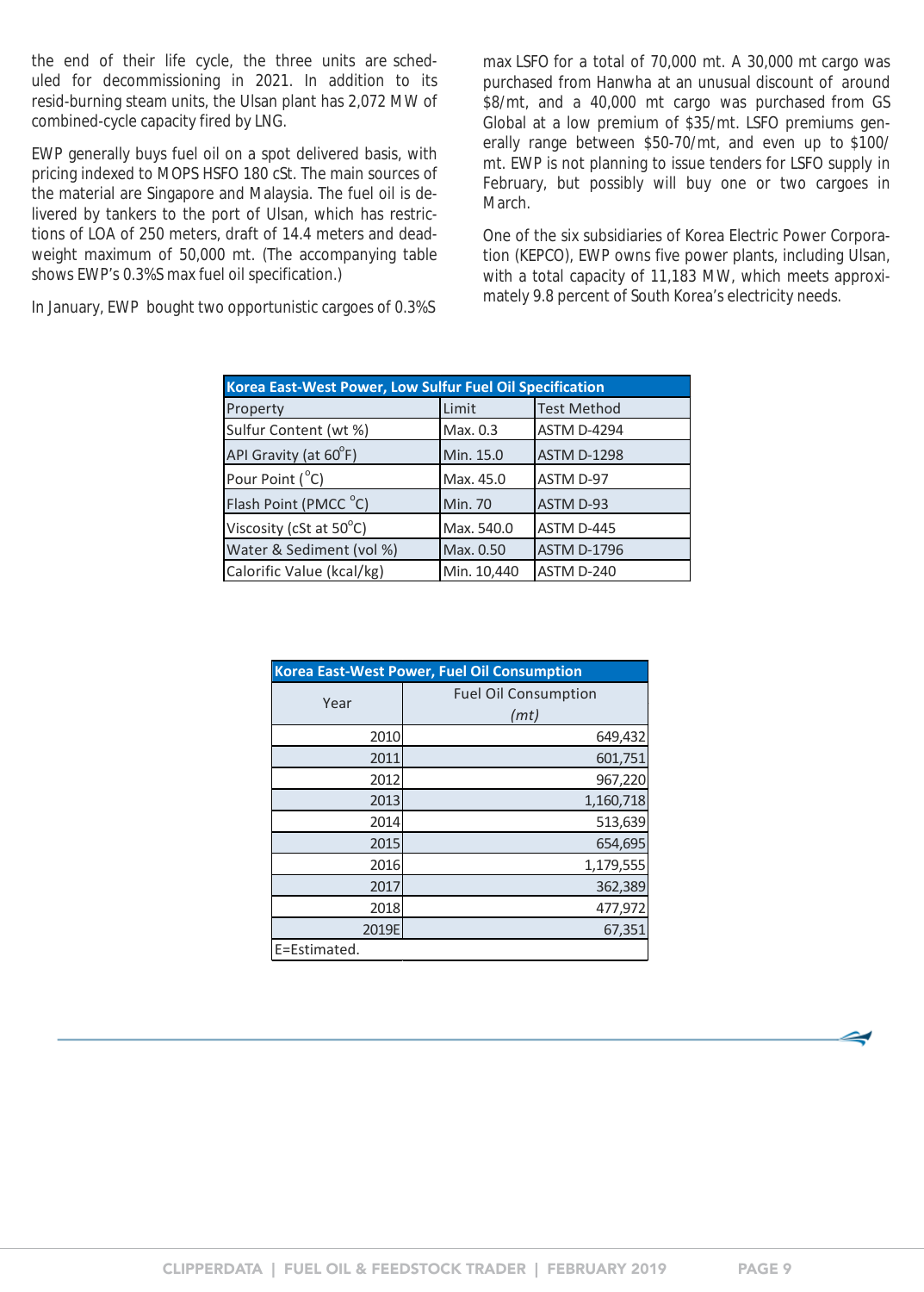the end of their life cycle, the three units are scheduled for decommissioning in 2021. In addition to its resid-burning steam units, the Ulsan plant has 2,072 MW of combined-cycle capacity fired by LNG.

EWP generally buys fuel oil on a spot delivered basis, with pricing indexed to MOPS HSFO 180 cSt. The main sources of the material are Singapore and Malaysia. The fuel oil is delivered by tankers to the port of Ulsan, which has restrictions of LOA of 250 meters, draft of 14.4 meters and deadweight maximum of 50,000 mt. (The accompanying table shows EWP's 0.3%S max fuel oil specification.)

In January, EWP bought two opportunistic cargoes of 0.3%S

max LSFO for a total of 70,000 mt. A 30,000 mt cargo was purchased from Hanwha at an unusual discount of around \$8/mt, and a 40,000 mt cargo was purchased from GS Global at a low premium of \$35/mt. LSFO premiums generally range between \$50-70/mt, and even up to \$100/ mt. EWP is not planning to issue tenders for LSFO supply in February, but possibly will buy one or two cargoes in March.

One of the six subsidiaries of Korea Electric Power Corporation (KEPCO), EWP owns five power plants, including Ulsan, with a total capacity of 11,183 MW, which meets approximately 9.8 percent of South Korea's electricity needs.

| Korea East-West Power, Low Sulfur Fuel Oil Specification |                |                    |  |  |  |  |  |
|----------------------------------------------------------|----------------|--------------------|--|--|--|--|--|
| Property                                                 | Limit          | <b>Test Method</b> |  |  |  |  |  |
| Sulfur Content (wt %)                                    | Max. 0.3       | <b>ASTM D-4294</b> |  |  |  |  |  |
| API Gravity (at 60°F)                                    | Min. 15.0      | <b>ASTM D-1298</b> |  |  |  |  |  |
| Pour Point (°C)                                          | Max. 45.0      | ASTM D-97          |  |  |  |  |  |
| Flash Point (PMCC °C)                                    | <b>Min. 70</b> | ASTM D-93          |  |  |  |  |  |
| Viscosity (cSt at $50^{\circ}$ C)                        | Max. 540.0     | ASTM D-445         |  |  |  |  |  |
| Water & Sediment (vol %)                                 | Max. 0.50      | <b>ASTM D-1796</b> |  |  |  |  |  |
| Calorific Value (kcal/kg)                                | Min. 10,440    | ASTM D-240         |  |  |  |  |  |

| <b>Korea East-West Power, Fuel Oil Consumption</b> |                                     |  |  |  |  |  |
|----------------------------------------------------|-------------------------------------|--|--|--|--|--|
| Year                                               | <b>Fuel Oil Consumption</b><br>(mt) |  |  |  |  |  |
| 2010                                               | 649,432                             |  |  |  |  |  |
| 2011                                               | 601,751                             |  |  |  |  |  |
| 2012                                               | 967,220                             |  |  |  |  |  |
| 2013                                               | 1,160,718                           |  |  |  |  |  |
| 2014                                               | 513,639                             |  |  |  |  |  |
| 2015                                               | 654,695                             |  |  |  |  |  |
| 2016                                               | 1,179,555                           |  |  |  |  |  |
| 2017                                               | 362,389                             |  |  |  |  |  |
| 2018                                               | 477,972                             |  |  |  |  |  |
| 2019E                                              | 67,351                              |  |  |  |  |  |
| E=Estimated.                                       |                                     |  |  |  |  |  |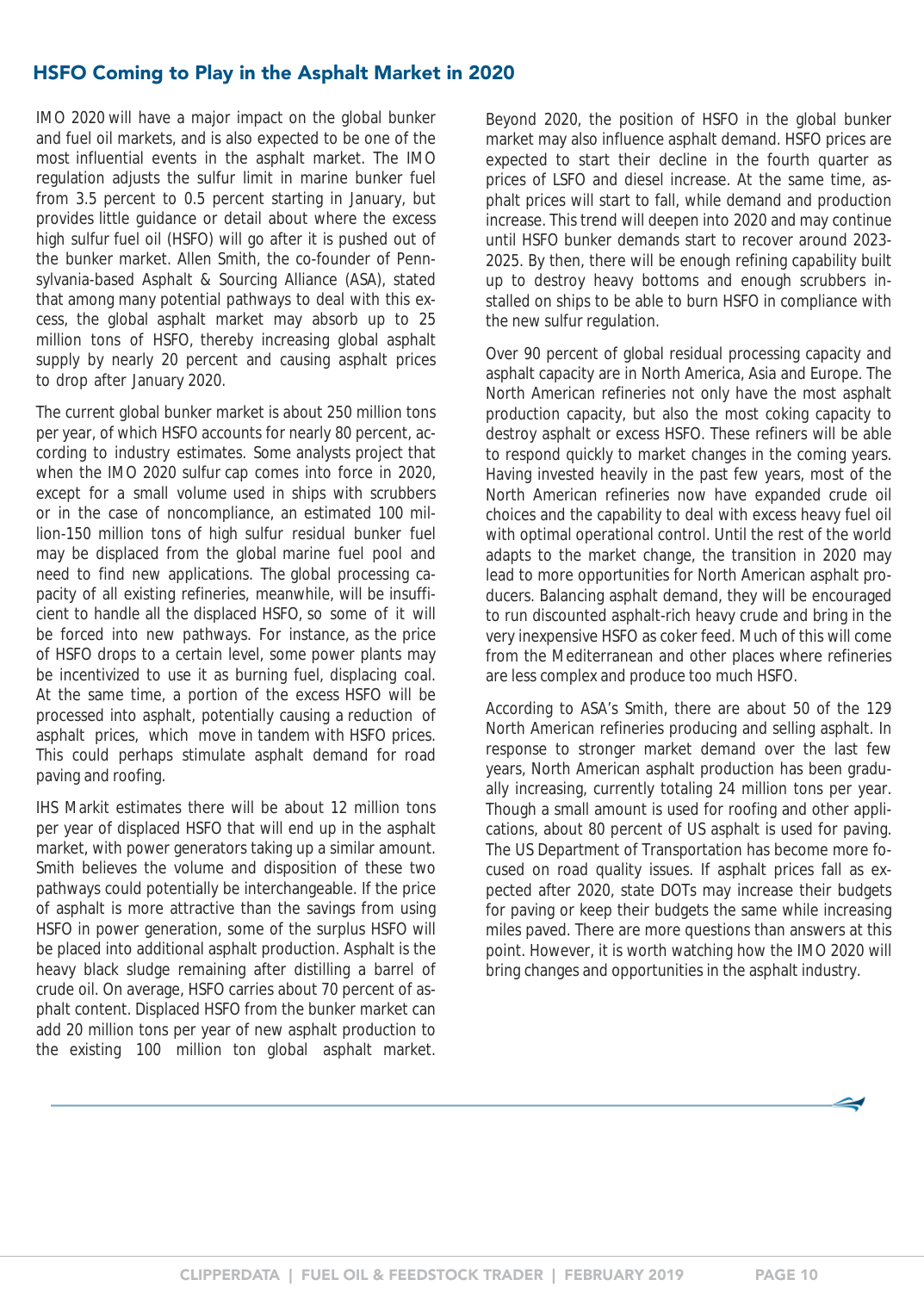### <span id="page-9-0"></span>HSFO Coming to Play in the Asphalt Market in 2020

IMO 2020 will have a major impact on the global bunker and fuel oil markets, and is also expected to be one of the most influential events in the asphalt market. The IMO regulation adjusts the sulfur limit in marine bunker fuel from 3.5 percent to 0.5 percent starting in January, but provides little guidance or detail about where the excess high sulfur fuel oil (HSFO) will go after it is pushed out of the bunker market. Allen Smith, the co-founder of Pennsylvania-based Asphalt & Sourcing Alliance (ASA), stated that among many potential pathways to deal with this excess, the global asphalt market may absorb up to 25 million tons of HSFO, thereby increasing global asphalt supply by nearly 20 percent and causing asphalt prices to drop after January 2020.

The current global bunker market is about 250 million tons per year, of which HSFO accounts for nearly 80 percent, according to industry estimates. Some analysts project that when the IMO 2020 sulfur cap comes into force in 2020, except for a small volume used in ships with scrubbers or in the case of noncompliance, an estimated 100 million-150 million tons of high sulfur residual bunker fuel may be displaced from the global marine fuel pool and need to find new applications. The global processing capacity of all existing refineries, meanwhile, will be insufficient to handle all the displaced HSFO, so some of it will be forced into new pathways. For instance, as the price of HSFO drops to a certain level, some power plants may be incentivized to use it as burning fuel, displacing coal. At the same time, a portion of the excess HSFO will be processed into asphalt, potentially causing a reduction of asphalt prices, which move in tandem with HSFO prices. This could perhaps stimulate asphalt demand for road paving and roofing.

IHS Markit estimates there will be about 12 million tons per year of displaced HSFO that will end up in the asphalt market, with power generators taking up a similar amount. Smith believes the volume and disposition of these two pathways could potentially be interchangeable. If the price of asphalt is more attractive than the savings from using HSFO in power generation, some of the surplus HSFO will be placed into additional asphalt production. Asphalt is the heavy black sludge remaining after distilling a barrel of crude oil. On average, HSFO carries about 70 percent of asphalt content. Displaced HSFO from the bunker market can add 20 million tons per year of new asphalt production to the existing 100 million ton global asphalt market.

Beyond 2020, the position of HSFO in the global bunker market may also influence asphalt demand. HSFO prices are expected to start their decline in the fourth quarter as prices of LSFO and diesel increase. At the same time, asphalt prices will start to fall, while demand and production increase. This trend will deepen into 2020 and may continue until HSFO bunker demands start to recover around 2023- 2025. By then, there will be enough refining capability built up to destroy heavy bottoms and enough scrubbers installed on ships to be able to burn HSFO in compliance with the new sulfur regulation.

Over 90 percent of global residual processing capacity and asphalt capacity are in North America, Asia and Europe. The North American refineries not only have the most asphalt production capacity, but also the most coking capacity to destroy asphalt or excess HSFO. These refiners will be able to respond quickly to market changes in the coming years. Having invested heavily in the past few years, most of the North American refineries now have expanded crude oil choices and the capability to deal with excess heavy fuel oil with optimal operational control. Until the rest of the world adapts to the market change, the transition in 2020 may lead to more opportunities for North American asphalt producers. Balancing asphalt demand, they will be encouraged to run discounted asphalt-rich heavy crude and bring in the very inexpensive HSFO as coker feed. Much of this will come from the Mediterranean and other places where refineries are less complex and produce too much HSFO.

According to ASA's Smith, there are about 50 of the 129 North American refineries producing and selling asphalt. In response to stronger market demand over the last few years, North American asphalt production has been gradually increasing, currently totaling 24 million tons per year. Though a small amount is used for roofing and other applications, about 80 percent of US asphalt is used for paving. The US Department of Transportation has become more focused on road quality issues. If asphalt prices fall as expected after 2020, state DOTs may increase their budgets for paving or keep their budgets the same while increasing miles paved. There are more questions than answers at this point. However, it is worth watching how the IMO 2020 will bring changes and opportunities in the asphalt industry.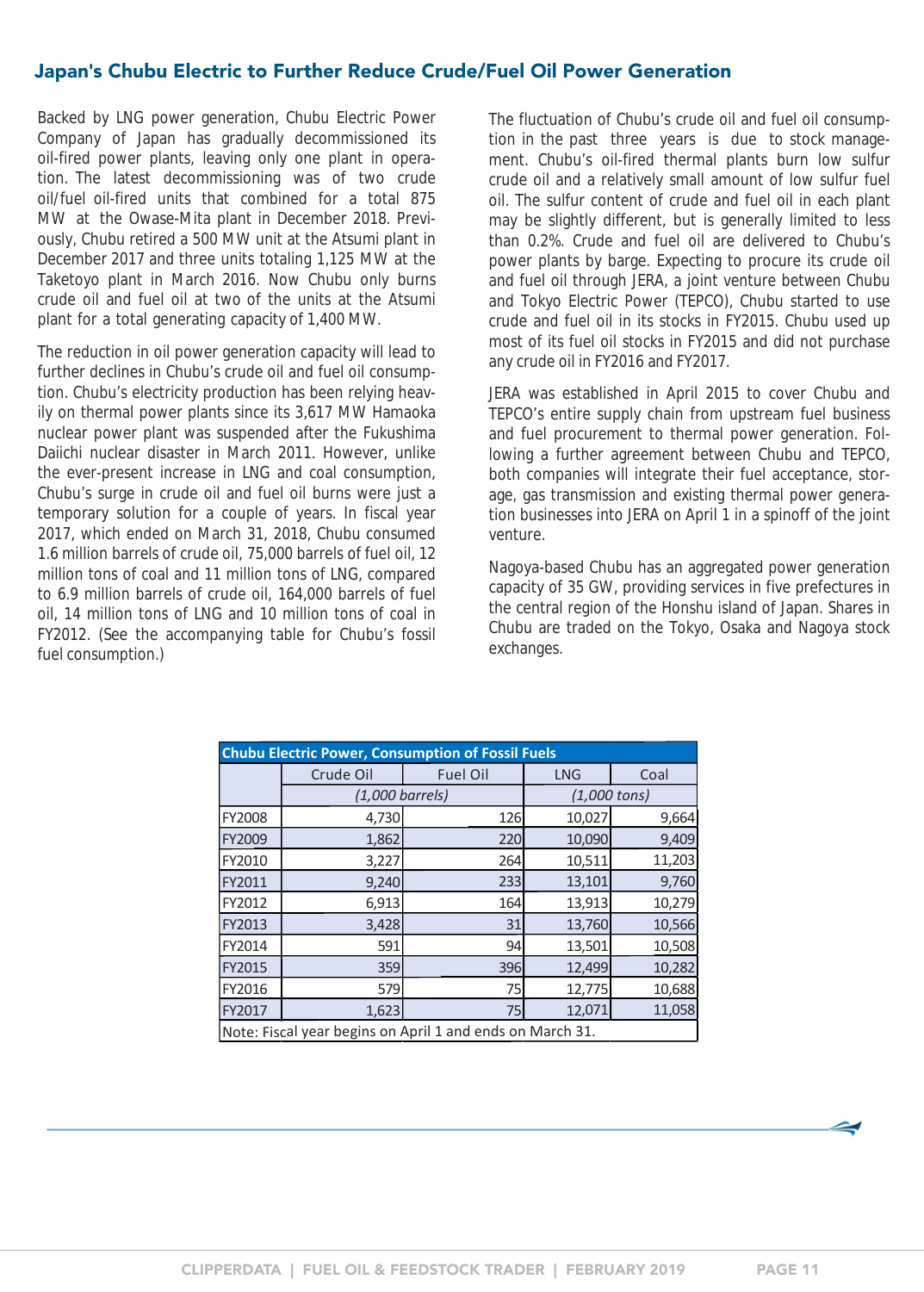### <span id="page-10-0"></span>Japan**'**s Chubu Electric to Further Reduce Crude/Fuel Oil Power Generation

Backed by LNG power generation, Chubu Electric Power Company of Japan has gradually decommissioned its oil-fired power plants, leaving only one plant in operation. The latest decommissioning was of two crude oil/fuel oil-fired units that combined for a total 875 MW at the Owase-Mita plant in December 2018. Previously, Chubu retired a 500 MW unit at the Atsumi plant in December 2017 and three units totaling 1,125 MW at the Taketoyo plant in March 2016. Now Chubu only burns crude oil and fuel oil at two of the units at the Atsumi plant for a total generating capacity of 1,400 MW.

The reduction in oil power generation capacity will lead to further declines in Chubu's crude oil and fuel oil consumption. Chubu's electricity production has been relying heavily on thermal power plants since its 3,617 MW Hamaoka nuclear power plant was suspended after the Fukushima Daiichi nuclear disaster in March 2011. However, unlike the ever-present increase in LNG and coal consumption, Chubu's surge in crude oil and fuel oil burns were just a temporary solution for a couple of years. In fiscal year 2017, which ended on March 31, 2018, Chubu consumed 1.6 million barrels of crude oil, 75,000 barrels of fuel oil, 12 million tons of coal and 11 million tons of LNG, compared to 6.9 million barrels of crude oil, 164,000 barrels of fuel oil, 14 million tons of LNG and 10 million tons of coal in FY2012. (See the accompanying table for Chubu's fossil fuel consumption.)

The fluctuation of Chubu's crude oil and fuel oil consumption in the past three years is due to stock management. Chubu's oil-fired thermal plants burn low sulfur crude oil and a relatively small amount of low sulfur fuel oil. The sulfur content of crude and fuel oil in each plant may be slightly different, but is generally limited to less than 0.2%. Crude and fuel oil are delivered to Chubu's power plants by barge. Expecting to procure its crude oil and fuel oil through JERA, a joint venture between Chubu and Tokyo Electric Power (TEPCO), Chubu started to use crude and fuel oil in its stocks in FY2015. Chubu used up most of its fuel oil stocks in FY2015 and did not purchase any crude oil in FY2016 and FY2017.

JERA was established in April 2015 to cover Chubu and TEPCO's entire supply chain from upstream fuel business and fuel procurement to thermal power generation. Following a further agreement between Chubu and TEPCO, both companies will integrate their fuel acceptance, storage, gas transmission and existing thermal power generation businesses into JERA on April 1 in a spinoff of the joint venture.

Nagoya-based Chubu has an aggregated power generation capacity of 35 GW, providing services in five prefectures in the central region of the Honshu island of Japan. Shares in Chubu are traded on the Tokyo, Osaka and Nagoya stock exchanges.

| <b>Chubu Electric Power, Consumption of Fossil Fuels</b> |                                                           |     |                |        |  |  |  |  |
|----------------------------------------------------------|-----------------------------------------------------------|-----|----------------|--------|--|--|--|--|
|                                                          | Crude Oil<br><b>Fuel Oil</b>                              |     | <b>LNG</b>     | Coal   |  |  |  |  |
|                                                          | $(1,000 \text{ barrels})$                                 |     | $(1,000$ tons) |        |  |  |  |  |
| FY2008                                                   | 4,730                                                     | 126 | 10,027         | 9,664  |  |  |  |  |
| FY2009                                                   | 1,862                                                     | 220 | 10,090         | 9,409  |  |  |  |  |
| FY2010                                                   | 3,227                                                     | 264 | 10,511         | 11,203 |  |  |  |  |
| FY2011                                                   | 9,240                                                     | 233 | 13,101         | 9,760  |  |  |  |  |
| FY2012                                                   | 6,913                                                     | 164 | 13,913         | 10,279 |  |  |  |  |
| FY2013                                                   | 3,428                                                     | 31  | 13,760         | 10,566 |  |  |  |  |
| FY2014                                                   | 591                                                       | 94  | 13,501         | 10,508 |  |  |  |  |
| FY2015                                                   | 359                                                       | 396 | 12,499         | 10,282 |  |  |  |  |
| FY2016                                                   | 579                                                       | 75  | 12,775         | 10,688 |  |  |  |  |
| FY2017                                                   | 1,623                                                     | 75  | 12,071         | 11,058 |  |  |  |  |
|                                                          | Note: Fiscal year begins on April 1 and ends on March 31. |     |                |        |  |  |  |  |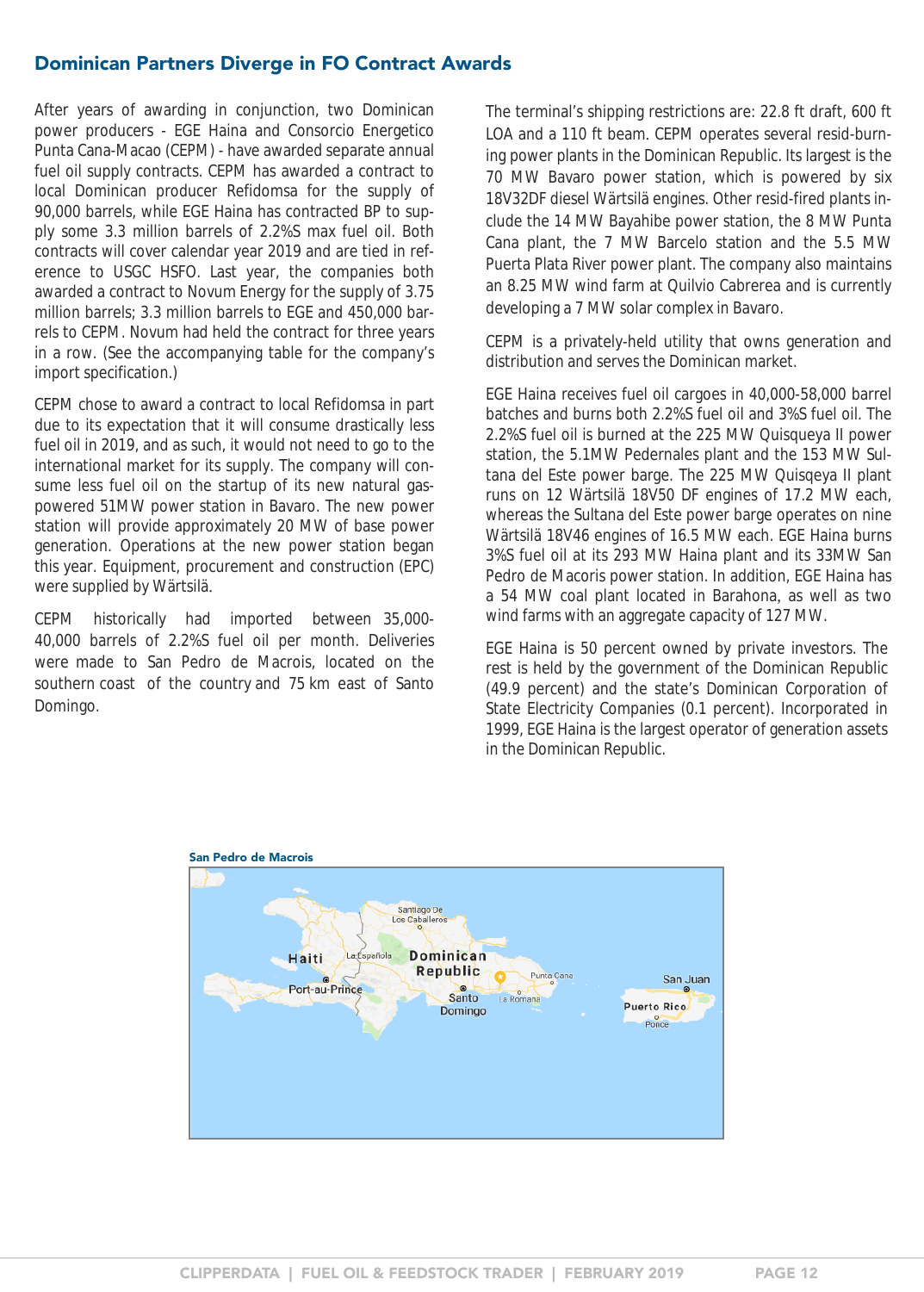### <span id="page-11-0"></span>Dominican Partners Diverge in FO Contract Awards

After years of awarding in conjunction, two Dominican power producers - EGE Haina and Consorcio Energetico Punta Cana-Macao (CEPM) - have awarded separate annual fuel oil supply contracts. CEPM has awarded a contract to local Dominican producer Refidomsa for the supply of 90,000 barrels, while EGE Haina has contracted BP to supply some 3.3 million barrels of 2.2%S max fuel oil. Both contracts will cover calendar year 2019 and are tied in reference to USGC HSFO. Last year, the companies both awarded a contract to Novum Energy for the supply of 3.75 million barrels; 3.3 million barrels to EGE and 450,000 barrels to CEPM. Novum had held the contract for three years in a row. (See the accompanying table for the company's import specification.)

CEPM chose to award a contract to local Refidomsa in part due to its expectation that it will consume drastically less fuel oil in 2019, and as such, it would not need to go to the international market for its supply. The company will consume less fuel oil on the startup of its new natural gaspowered 51MW power station in Bavaro. The new power station will provide approximately 20 MW of base power generation. Operations at the new power station began this year. Equipment, procurement and construction (EPC) were supplied by Wärtsilä.

CEPM historically had imported between 35,000- 40,000 barrels of 2.2%S fuel oil per month. Deliveries were made to San Pedro de Macrois, located on the southern coast of the country and 75 km east of Santo Domingo.

The terminal's shipping restrictions are: 22.8 ft draft, 600 ft LOA and a 110 ft beam. CEPM operates several resid-burning power plants in the Dominican Republic. Its largest is the 70 MW Bavaro power station, which is powered by six 18V32DF diesel Wärtsilä engines. Other resid-fired plants include the 14 MW Bayahibe power station, the 8 MW Punta Cana plant, the 7 MW Barcelo station and the 5.5 MW Puerta Plata River power plant. The company also maintains an 8.25 MW wind farm at Quilvio Cabrerea and is currently developing a 7 MW solar complex in Bavaro.

CEPM is a privately-held utility that owns generation and distribution and serves the Dominican market.

EGE Haina receives fuel oil cargoes in 40,000-58,000 barrel batches and burns both 2.2%S fuel oil and 3%S fuel oil. The 2.2%S fuel oil is burned at the 225 MW Quisqueya II power station, the 5.1MW Pedernales plant and the 153 MW Sultana del Este power barge. The 225 MW Quisqeya II plant runs on 12 Wärtsilä 18V50 DF engines of 17.2 MW each, whereas the Sultana del Este power barge operates on nine Wärtsilä 18V46 engines of 16.5 MW each. EGE Haina burns 3%S fuel oil at its 293 MW Haina plant and its 33MW San Pedro de Macoris power station. In addition, EGE Haina has a 54 MW coal plant located in Barahona, as well as two wind farms with an aggregate capacity of 127 MW.

EGE Haina is 50 percent owned by private investors. The rest is held by the government of the Dominican Republic (49.9 percent) and the state's Dominican Corporation of State Electricity Companies (0.1 percent). Incorporated in 1999, EGE Haina is the largest operator of generation assets in the Dominican Republic.

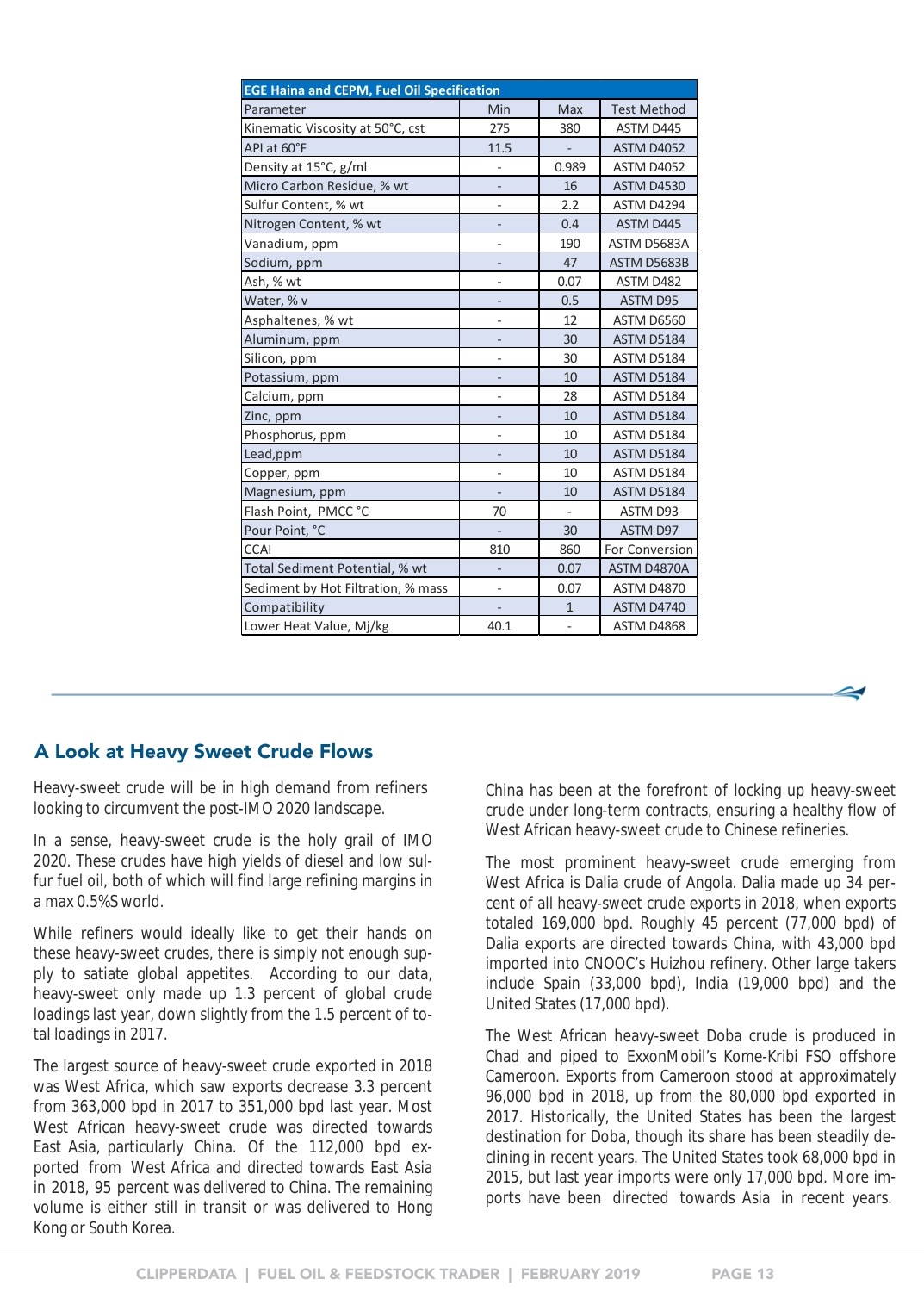<span id="page-12-0"></span>

| <b>EGE Haina and CEPM, Fuel Oil Specification</b> |                          |                          |                    |  |  |  |  |  |
|---------------------------------------------------|--------------------------|--------------------------|--------------------|--|--|--|--|--|
| Parameter                                         | Min                      | <b>Max</b>               | <b>Test Method</b> |  |  |  |  |  |
| Kinematic Viscosity at 50°C, cst                  | 275                      | 380                      | ASTM D445          |  |  |  |  |  |
| API at 60°F                                       | 11.5                     |                          | <b>ASTM D4052</b>  |  |  |  |  |  |
| Density at 15°C, g/ml                             | $\overline{\phantom{0}}$ | 0.989                    | <b>ASTM D4052</b>  |  |  |  |  |  |
| Micro Carbon Residue, % wt                        |                          | 16                       | <b>ASTM D4530</b>  |  |  |  |  |  |
| Sulfur Content, % wt                              | $\overline{\phantom{0}}$ | 2.2                      | ASTM D4294         |  |  |  |  |  |
| Nitrogen Content, % wt                            |                          | 0.4                      | ASTM D445          |  |  |  |  |  |
| Vanadium, ppm                                     | $\overline{\phantom{0}}$ | 190                      | ASTM D5683A        |  |  |  |  |  |
| Sodium, ppm                                       | $\overline{a}$           | 47                       | ASTM D5683B        |  |  |  |  |  |
| Ash, % wt                                         | $\overline{\phantom{0}}$ | 0.07                     | ASTM D482          |  |  |  |  |  |
| Water, % v                                        | -                        | 0.5                      | ASTM D95           |  |  |  |  |  |
| Asphaltenes, % wt                                 |                          | 12                       | ASTM D6560         |  |  |  |  |  |
| Aluminum, ppm                                     |                          | 30                       | <b>ASTM D5184</b>  |  |  |  |  |  |
| Silicon, ppm                                      |                          | 30                       | ASTM D5184         |  |  |  |  |  |
| Potassium, ppm                                    | $\overline{\phantom{0}}$ | 10                       | <b>ASTM D5184</b>  |  |  |  |  |  |
| Calcium, ppm                                      | $\overline{\phantom{0}}$ | 28                       | ASTM D5184         |  |  |  |  |  |
| Zinc, ppm                                         |                          | 10                       | <b>ASTM D5184</b>  |  |  |  |  |  |
| Phosphorus, ppm                                   | $\overline{\phantom{0}}$ | 10                       | ASTM D5184         |  |  |  |  |  |
| Lead, ppm                                         | $\overline{\phantom{0}}$ | 10                       | <b>ASTM D5184</b>  |  |  |  |  |  |
| Copper, ppm                                       | $\overline{\phantom{0}}$ | 10                       | ASTM D5184         |  |  |  |  |  |
| Magnesium, ppm                                    |                          | 10                       | ASTM D5184         |  |  |  |  |  |
| Flash Point, PMCC °C                              | 70                       | $\overline{\phantom{0}}$ | ASTM D93           |  |  |  |  |  |
| Pour Point, °C                                    |                          | 30                       | ASTM D97           |  |  |  |  |  |
| <b>CCAI</b>                                       | 810                      | 860                      | For Conversion     |  |  |  |  |  |
| Total Sediment Potential, % wt                    | -                        | 0.07                     | ASTM D4870A        |  |  |  |  |  |
| Sediment by Hot Filtration, % mass                |                          | 0.07                     | <b>ASTM D4870</b>  |  |  |  |  |  |
| Compatibility                                     |                          | $\mathbf{1}$             | ASTM D4740         |  |  |  |  |  |
| Lower Heat Value, Mj/kg                           | 40.1                     | $\overline{\phantom{0}}$ | ASTM D4868         |  |  |  |  |  |

#### A Look at Heavy Sweet Crude Flows

Heavy-sweet crude will be in high demand from refiners looking to circumvent the post-IMO 2020 landscape.

In a sense, heavy-sweet crude is the holy grail of IMO 2020. These crudes have high yields of diesel and low sulfur fuel oil, both of which will find large refining margins in a max 0.5%S world.

While refiners would ideally like to get their hands on these heavy-sweet crudes, there is simply not enough supply to satiate global appetites. According to our data, heavy-sweet only made up 1.3 percent of global crude loadings last year, down slightly from the 1.5 percent of total loadings in 2017.

The largest source of heavy-sweet crude exported in 2018 was West Africa, which saw exports decrease 3.3 percent from 363,000 bpd in 2017 to 351,000 bpd last year. Most West African heavy-sweet crude was directed towards East Asia, particularly China. Of the 112,000 bpd exported from West Africa and directed towards East Asia in 2018, 95 percent was delivered to China. The remaining volume is either still in transit or was delivered to Hong Kong or South Korea.

China has been at the forefront of locking up heavy-sweet crude under long-term contracts, ensuring a healthy flow of West African heavy-sweet crude to Chinese refineries.

The most prominent heavy-sweet crude emerging from West Africa is Dalia crude of Angola. Dalia made up 34 percent of all heavy-sweet crude exports in 2018, when exports totaled 169,000 bpd. Roughly 45 percent (77,000 bpd) of Dalia exports are directed towards China, with 43,000 bpd imported into CNOOC's Huizhou refinery. Other large takers include Spain (33,000 bpd), India (19,000 bpd) and the United States (17,000 bpd).

The West African heavy-sweet Doba crude is produced in Chad and piped to ExxonMobil's Kome-Kribi FSO offshore Cameroon. Exports from Cameroon stood at approximately 96,000 bpd in 2018, up from the 80,000 bpd exported in 2017. Historically, the United States has been the largest destination for Doba, though its share has been steadily declining in recent years. The United States took 68,000 bpd in 2015, but last year imports were only 17,000 bpd. More imports have been directed towards Asia in recent years.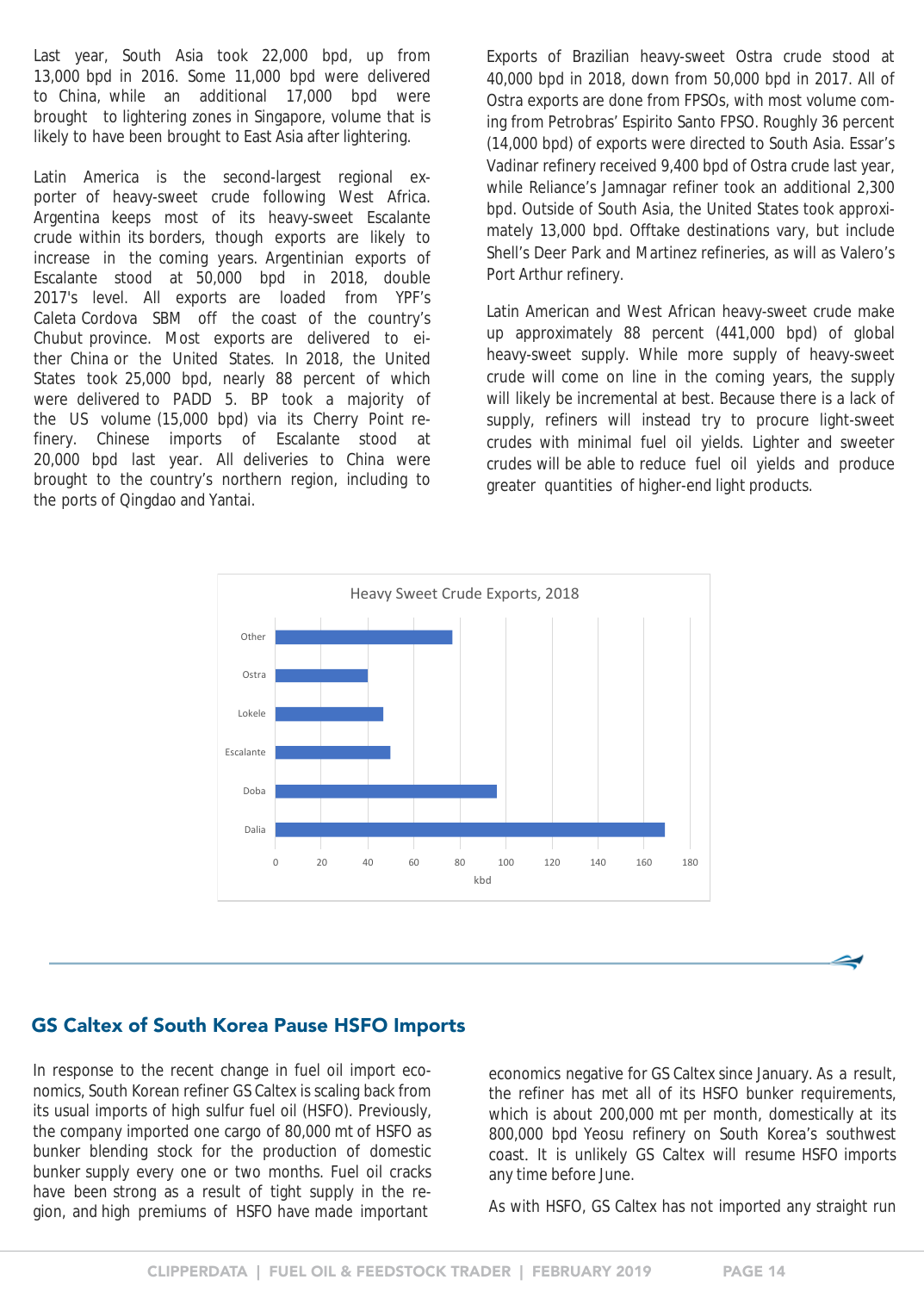<span id="page-13-0"></span>Last year, South Asia took 22,000 bpd, up from 13,000 bpd in 2016. Some 11,000 bpd were delivered to China, while an additional 17,000 bpd were brought to lightering zones in Singapore, volume that is likely to have been brought to East Asia after lightering.

Latin America is the second-largest regional exporter of heavy-sweet crude following West Africa. Argentina keeps most of its heavy-sweet Escalante crude within its borders, though exports are likely to increase in the coming years. Argentinian exports of Escalante stood at 50,000 bpd in 2018, double 2017's level. All exports are loaded from YPF's Caleta Cordova SBM off the coast of the country's Chubut province. Most exports are delivered to either China or the United States. In 2018, the United States took 25,000 bpd, nearly 88 percent of which were delivered to PADD 5. BP took a majority of the US volume (15,000 bpd) via its Cherry Point refinery. Chinese imports of Escalante stood at 20,000 bpd last year. All deliveries to China were brought to the country's northern region, including to the ports of Qingdao and Yantai.

Exports of Brazilian heavy-sweet Ostra crude stood at 40,000 bpd in 2018, down from 50,000 bpd in 2017. All of Ostra exports are done from FPSOs, with most volume coming from Petrobras' Espirito Santo FPSO. Roughly 36 percent (14,000 bpd) of exports were directed to South Asia. Essar's Vadinar refinery received 9,400 bpd of Ostra crude last year, while Reliance's Jamnagar refiner took an additional 2,300 bpd. Outside of South Asia, the United States took approximately 13,000 bpd. Offtake destinations vary, but include Shell's Deer Park and Martinez refineries, as will as Valero's Port Arthur refinery.

Latin American and West African heavy-sweet crude make up approximately 88 percent (441,000 bpd) of global heavy-sweet supply. While more supply of heavy-sweet crude will come on line in the coming years, the supply will likely be incremental at best. Because there is a lack of supply, refiners will instead try to procure light-sweet crudes with minimal fuel oil yields. Lighter and sweeter crudes will be able to reduce fuel oil yields and produce greater quantities of higher-end light products.



#### GS Caltex of South Korea Pause HSFO Imports

In response to the recent change in fuel oil import economics, South Korean refiner GS Caltex is scaling back from its usual imports of high sulfur fuel oil (HSFO). Previously, the company imported one cargo of 80,000 mt of HSFO as bunker blending stock for the production of domestic bunker supply every one or two months. Fuel oil cracks have been strong as a result of tight supply in the region, and high premiums of HSFO have made important

economics negative for GS Caltex since January. As a result, the refiner has met all of its HSFO bunker requirements, which is about 200,000 mt per month, domestically at its 800,000 bpd Yeosu refinery on South Korea's southwest coast. It is unlikely GS Caltex will resume HSFO imports any time before June.

As with HSFO, GS Caltex has not imported any straight run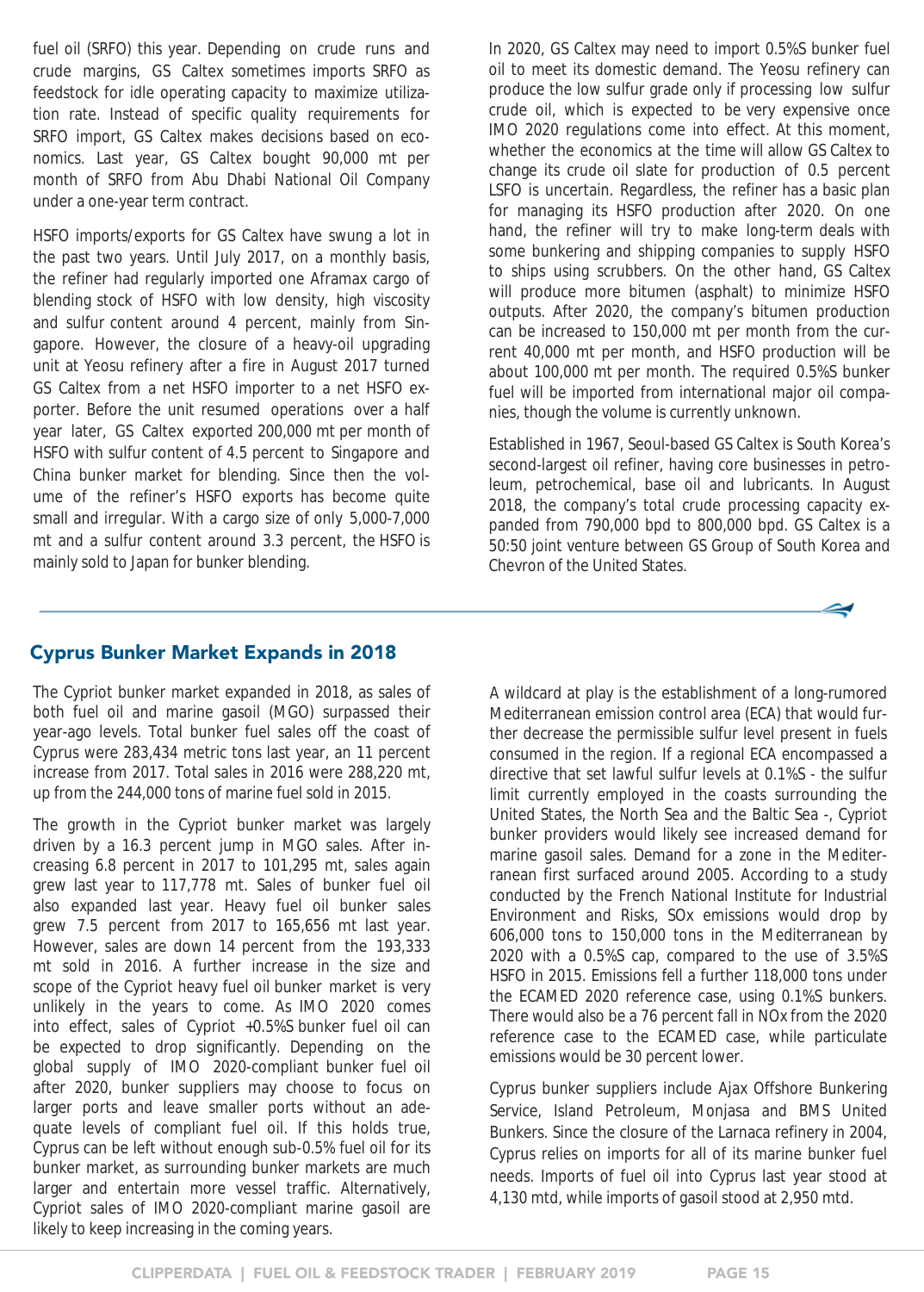<span id="page-14-0"></span>fuel oil (SRFO) this year. Depending on crude runs and crude margins, GS Caltex sometimes imports SRFO as feedstock for idle operating capacity to maximize utilization rate. Instead of specific quality requirements for SRFO import, GS Caltex makes decisions based on economics. Last year, GS Caltex bought 90,000 mt per month of SRFO from Abu Dhabi National Oil Company under a one-year term contract.

HSFO imports/exports for GS Caltex have swung a lot in the past two years. Until July 2017, on a monthly basis, the refiner had regularly imported one Aframax cargo of blending stock of HSFO with low density, high viscosity and sulfur content around 4 percent, mainly from Singapore. However, the closure of a heavy-oil upgrading unit at Yeosu refinery after a fire in August 2017 turned GS Caltex from a net HSFO importer to a net HSFO exporter. Before the unit resumed operations over a half year later, GS Caltex exported 200,000 mt per month of HSFO with sulfur content of 4.5 percent to Singapore and China bunker market for blending. Since then the volume of the refiner's HSFO exports has become quite small and irregular. With a cargo size of only 5,000-7,000 mt and a sulfur content around 3.3 percent, the HSFO is mainly sold to Japan for bunker blending.

In 2020, GS Caltex may need to import 0.5%S bunker fuel oil to meet its domestic demand. The Yeosu refinery can produce the low sulfur grade only if processing low sulfur crude oil, which is expected to be very expensive once IMO 2020 regulations come into effect. At this moment, whether the economics at the time will allow GS Caltex to change its crude oil slate for production of 0.5 percent LSFO is uncertain. Regardless, the refiner has a basic plan for managing its HSFO production after 2020. On one hand, the refiner will try to make long-term deals with some bunkering and shipping companies to supply HSFO to ships using scrubbers. On the other hand, GS Caltex will produce more bitumen (asphalt) to minimize HSFO outputs. After 2020, the company's bitumen production can be increased to 150,000 mt per month from the current 40,000 mt per month, and HSFO production will be about 100,000 mt per month. The required 0.5%S bunker fuel will be imported from international major oil companies, though the volume is currently unknown.

Established in 1967, Seoul-based GS Caltex is South Korea's second-largest oil refiner, having core businesses in petroleum, petrochemical, base oil and lubricants. In August 2018, the company's total crude processing capacity expanded from 790,000 bpd to 800,000 bpd. GS Caltex is a 50:50 joint venture between GS Group of South Korea and Chevron of the United States.



#### Cyprus Bunker Market Expands in 2018

The Cypriot bunker market expanded in 2018, as sales of both fuel oil and marine gasoil (MGO) surpassed their year-ago levels. Total bunker fuel sales off the coast of Cyprus were 283,434 metric tons last year, an 11 percent increase from 2017. Total sales in 2016 were 288,220 mt, up from the 244,000 tons of marine fuel sold in 2015.

The growth in the Cypriot bunker market was largely driven by a 16.3 percent jump in MGO sales. After increasing 6.8 percent in 2017 to 101,295 mt, sales again grew last year to 117,778 mt. Sales of bunker fuel oil also expanded last year. Heavy fuel oil bunker sales grew 7.5 percent from 2017 to 165,656 mt last year. However, sales are down 14 percent from the 193,333 mt sold in 2016. A further increase in the size and scope of the Cypriot heavy fuel oil bunker market is very unlikely in the years to come. As IMO 2020 comes into effect, sales of Cypriot +0.5%S bunker fuel oil can be expected to drop significantly. Depending on the global supply of IMO 2020-compliant bunker fuel oil after 2020, bunker suppliers may choose to focus on larger ports and leave smaller ports without an adequate levels of compliant fuel oil. If this holds true, Cyprus can be left without enough sub-0.5% fuel oil for its bunker market, as surrounding bunker markets are much larger and entertain more vessel traffic. Alternatively, Cypriot sales of IMO 2020-compliant marine gasoil are likely to keep increasing in the coming years.

A wildcard at play is the establishment of a long-rumored Mediterranean emission control area (ECA) that would further decrease the permissible sulfur level present in fuels consumed in the region. If a regional ECA encompassed a directive that set lawful sulfur levels at 0.1%S - the sulfur limit currently employed in the coasts surrounding the United States, the North Sea and the Baltic Sea -, Cypriot bunker providers would likely see increased demand for marine gasoil sales. Demand for a zone in the Mediterranean first surfaced around 2005. According to a study conducted by the French National Institute for Industrial Environment and Risks, SOx emissions would drop by 606,000 tons to 150,000 tons in the Mediterranean by 2020 with a 0.5%S cap, compared to the use of 3.5%S HSFO in 2015. Emissions fell a further 118,000 tons under the ECAMED 2020 reference case, using 0.1%S bunkers. There would also be a 76 percent fall in NOx from the 2020 reference case to the ECAMED case, while particulate emissions would be 30 percent lower.

Cyprus bunker suppliers include Ajax Offshore Bunkering Service, Island Petroleum, Monjasa and BMS United Bunkers. Since the closure of the Larnaca refinery in 2004, Cyprus relies on imports for all of its marine bunker fuel needs. Imports of fuel oil into Cyprus last year stood at 4,130 mtd, while imports of gasoil stood at 2,950 mtd.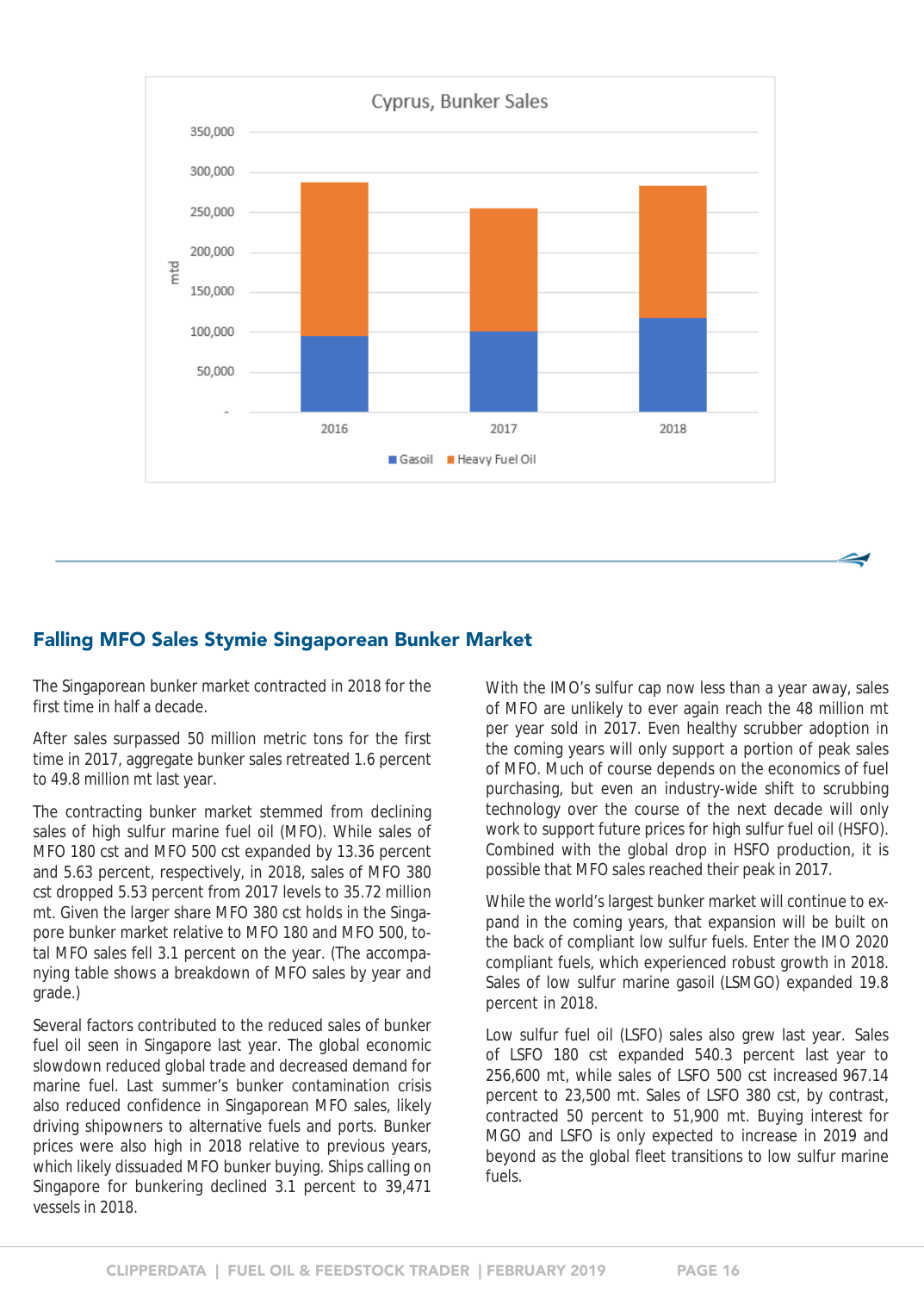<span id="page-15-0"></span>

#### Falling MFO Sales Stymie Singaporean Bunker Market

The Singaporean bunker market contracted in 2018 for the first time in half a decade.

After sales surpassed 50 million metric tons for the first time in 2017, aggregate bunker sales retreated 1.6 percent to 49.8 million mt last year.

The contracting bunker market stemmed from declining sales of high sulfur marine fuel oil (MFO). While sales of MFO 180 cst and MFO 500 cst expanded by 13.36 percent and 5.63 percent, respectively, in 2018, sales of MFO 380 cst dropped 5.53 percent from 2017 levels to 35.72 million mt. Given the larger share MFO 380 cst holds in the Singapore bunker market relative to MFO 180 and MFO 500, total MFO sales fell 3.1 percent on the year. (The accompanying table shows a breakdown of MFO sales by year and grade.)

Several factors contributed to the reduced sales of bunker fuel oil seen in Singapore last year. The global economic slowdown reduced global trade and decreased demand for marine fuel. Last summer's bunker contamination crisis also reduced confidence in Singaporean MFO sales, likely driving shipowners to alternative fuels and ports. Bunker prices were also high in 2018 relative to previous years, which likely dissuaded MFO bunker buying. Ships calling on Singapore for bunkering declined 3.1 percent to 39,471 vessels in 2018.

With the IMO's sulfur cap now less than a year away, sales of MFO are unlikely to ever again reach the 48 million mt per year sold in 2017. Even healthy scrubber adoption in the coming years will only support a portion of peak sales of MFO. Much of course depends on the economics of fuel purchasing, but even an industry-wide shift to scrubbing technology over the course of the next decade will only work to support future prices for high sulfur fuel oil (HSFO). Combined with the global drop in HSFO production, it is possible that MFO sales reached their peak in 2017.

While the world's largest bunker market will continue to expand in the coming years, that expansion will be built on the back of compliant low sulfur fuels. Enter the IMO 2020 compliant fuels, which experienced robust growth in 2018. Sales of low sulfur marine gasoil (LSMGO) expanded 19.8 percent in 2018.

Low sulfur fuel oil (LSFO) sales also grew last year. Sales of LSFO 180 cst expanded 540.3 percent last year to 256,600 mt, while sales of LSFO 500 cst increased 967.14 percent to 23,500 mt. Sales of LSFO 380 cst, by contrast, contracted 50 percent to 51,900 mt. Buying interest for MGO and LSFO is only expected to increase in 2019 and beyond as the global fleet transitions to low sulfur marine fuels.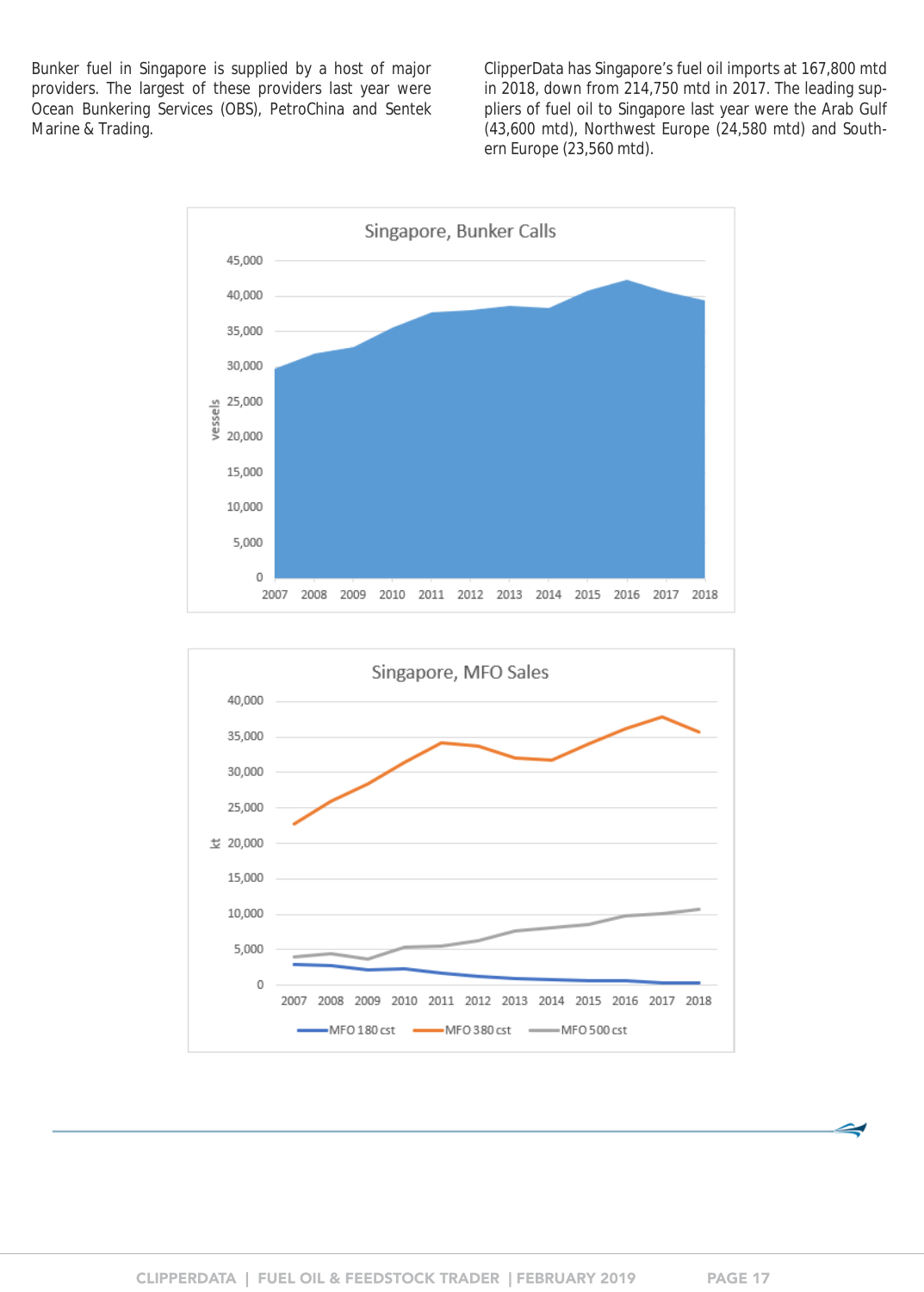Bunker fuel in Singapore is supplied by a host of major providers. The largest of these providers last year were Ocean Bunkering Services (OBS), PetroChina and Sentek Marine & Trading.

ClipperData has Singapore's fuel oil imports at 167,800 mtd in 2018, down from 214,750 mtd in 2017. The leading suppliers of fuel oil to Singapore last year were the Arab Gulf (43,600 mtd), Northwest Europe (24,580 mtd) and Southern Europe (23,560 mtd).



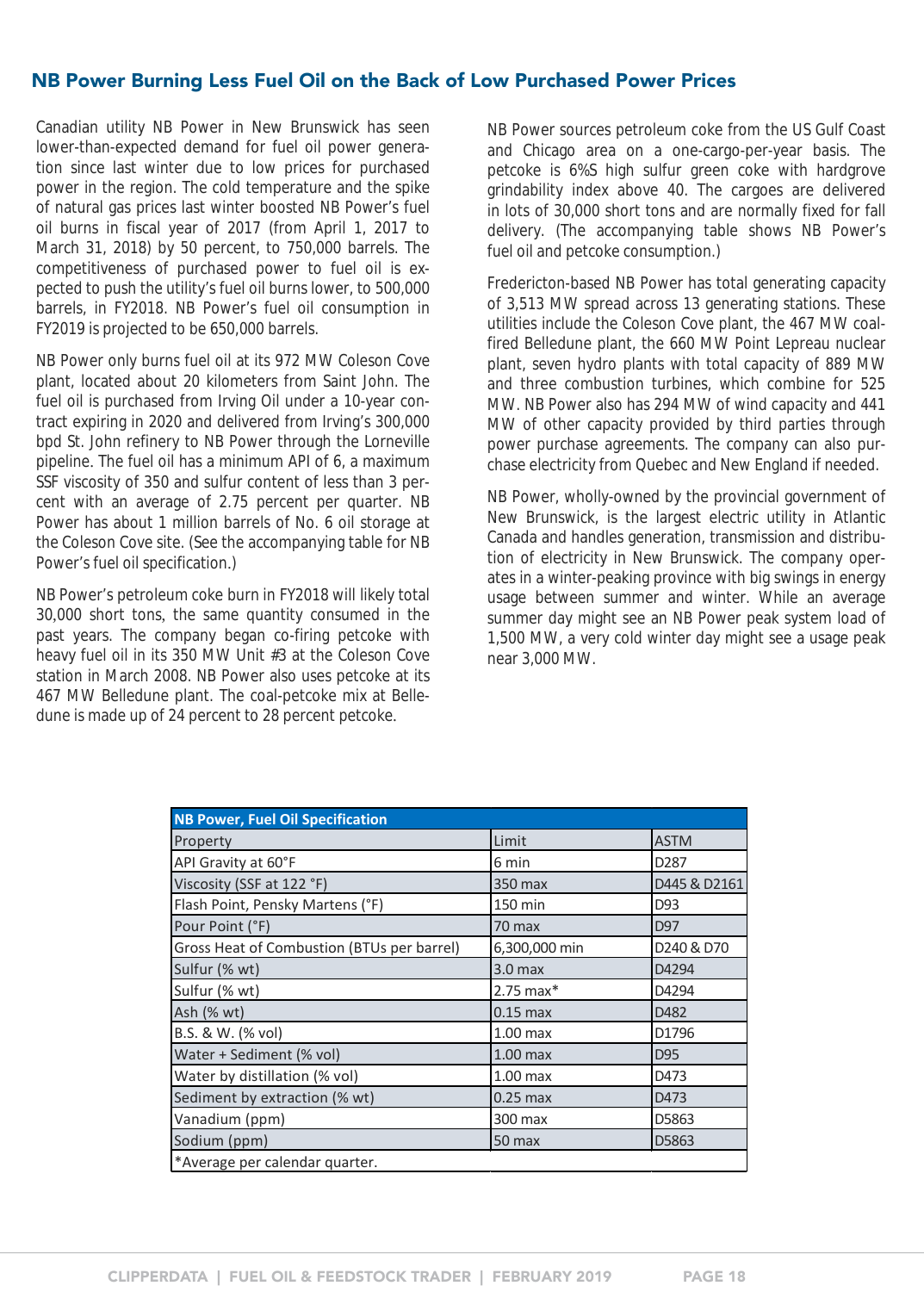#### <span id="page-17-0"></span>NB Power Burning Less Fuel Oil on the Back of Low Purchased Power Prices

Canadian utility NB Power in New Brunswick has seen lower-than-expected demand for fuel oil power generation since last winter due to low prices for purchased power in the region. The cold temperature and the spike of natural gas prices last winter boosted NB Power's fuel oil burns in fiscal year of 2017 (from April 1, 2017 to March 31, 2018) by 50 percent, to 750,000 barrels. The competitiveness of purchased power to fuel oil is expected to push the utility's fuel oil burns lower, to 500,000 barrels, in FY2018. NB Power's fuel oil consumption in FY2019 is projected to be 650,000 barrels.

NB Power only burns fuel oil at its 972 MW Coleson Cove plant, located about 20 kilometers from Saint John. The fuel oil is purchased from Irving Oil under a 10-year contract expiring in 2020 and delivered from Irving's 300,000 bpd St. John refinery to NB Power through the Lorneville pipeline. The fuel oil has a minimum API of 6, a maximum SSF viscosity of 350 and sulfur content of less than 3 percent with an average of 2.75 percent per quarter. NB Power has about 1 million barrels of No. 6 oil storage at the Coleson Cove site. (See the accompanying table for NB Power's fuel oil specification.)

NB Power's petroleum coke burn in FY2018 will likely total 30,000 short tons, the same quantity consumed in the past years. The company began co-firing petcoke with heavy fuel oil in its 350 MW Unit #3 at the Coleson Cove station in March 2008. NB Power also uses petcoke at its 467 MW Belledune plant. The coal-petcoke mix at Belledune is made up of 24 percent to 28 percent petcoke.

NB Power sources petroleum coke from the US Gulf Coast and Chicago area on a one-cargo-per-year basis. The petcoke is 6%S high sulfur green coke with hardgrove grindability index above 40. The cargoes are delivered in lots of 30,000 short tons and are normally fixed for fall delivery. (The accompanying table shows NB Power's fuel oil and petcoke consumption.)

Fredericton-based NB Power has total generating capacity of 3,513 MW spread across 13 generating stations. These utilities include the Coleson Cove plant, the 467 MW coalfired Belledune plant, the 660 MW Point Lepreau nuclear plant, seven hydro plants with total capacity of 889 MW and three combustion turbines, which combine for 525 MW. NB Power also has 294 MW of wind capacity and 441 MW of other capacity provided by third parties through power purchase agreements. The company can also purchase electricity from Quebec and New England if needed.

NB Power, wholly-owned by the provincial government of New Brunswick, is the largest electric utility in Atlantic Canada and handles generation, transmission and distribution of electricity in New Brunswick. The company operates in a winter-peaking province with big swings in energy usage between summer and winter. While an average summer day might see an NB Power peak system load of 1,500 MW, a very cold winter day might see a usage peak near 3,000 MW.

| <b>NB Power, Fuel Oil Specification</b>    |                         |                  |
|--------------------------------------------|-------------------------|------------------|
| Property                                   | Limit                   | <b>ASTM</b>      |
| API Gravity at 60°F                        | 6 min                   | D <sub>287</sub> |
| Viscosity (SSF at 122 °F)                  | 350 max                 | D445 & D2161     |
| Flash Point, Pensky Martens (°F)           | 150 min                 | D93              |
| Pour Point (°F)                            | 70 max                  | D97              |
| Gross Heat of Combustion (BTUs per barrel) | 6,300,000 min           | D240 & D70       |
| Sulfur (% wt)                              | 3.0 <sub>max</sub>      | D4294            |
| Sulfur (% wt)                              | $2.75$ max <sup>*</sup> | D4294            |
| Ash (% wt)                                 | $0.15$ max              | D482             |
| B.S. & W. (% vol)                          | $1.00$ max              | D1796            |
| Water + Sediment (% vol)                   | $1.00$ max              | D95              |
| Water by distillation (% vol)              | $1.00$ max              | D473             |
| Sediment by extraction (% wt)              | $0.25$ max              | D473             |
| Vanadium (ppm)                             | 300 max                 | D5863            |
| Sodium (ppm)                               | 50 max                  | D5863            |
| *Average per calendar quarter.             |                         |                  |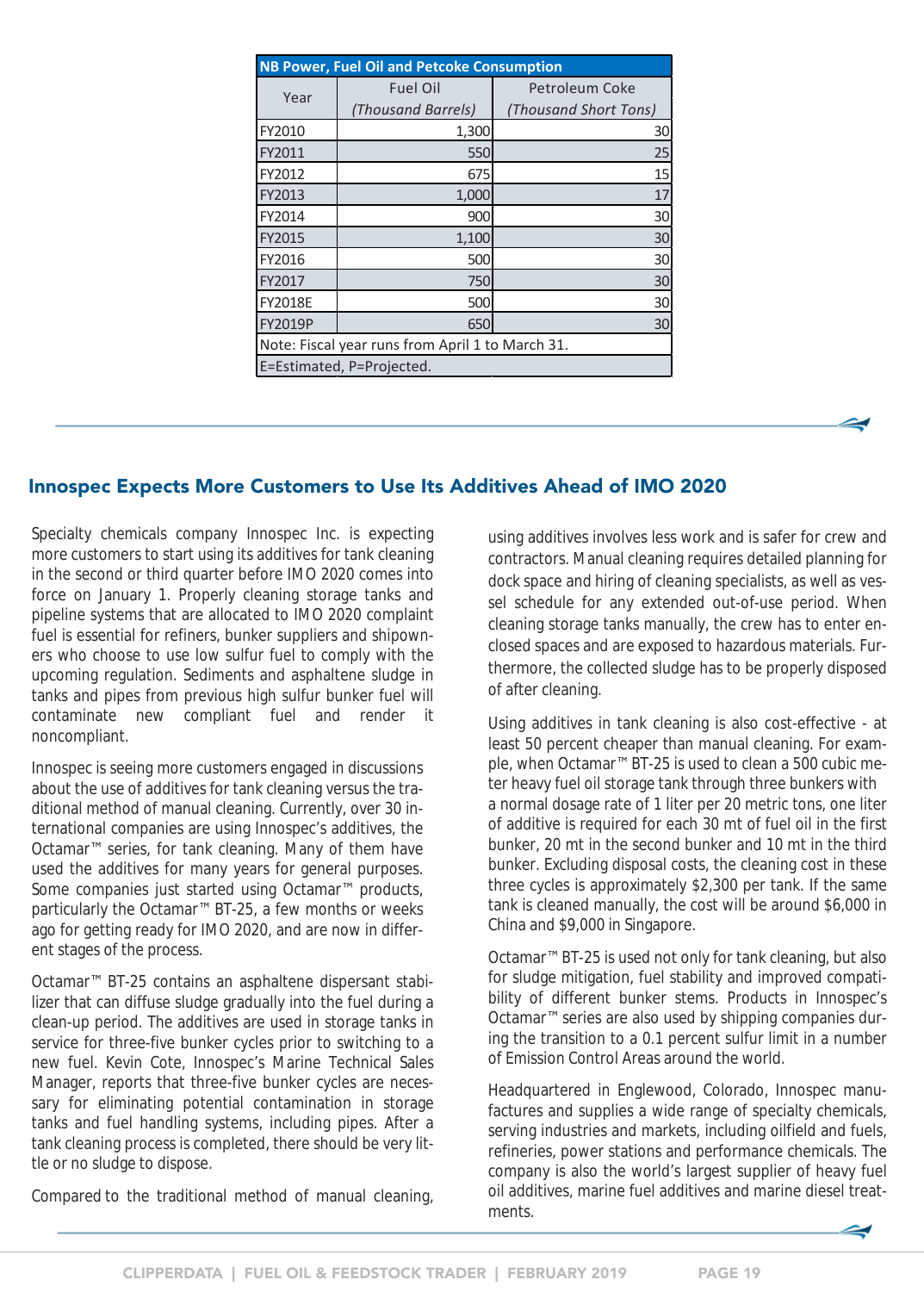<span id="page-18-0"></span>

| <b>NB Power, Fuel Oil and Petcoke Consumption</b> |                    |                       |  |  |  |  |  |  |
|---------------------------------------------------|--------------------|-----------------------|--|--|--|--|--|--|
| Year                                              | <b>Fuel Oil</b>    | Petroleum Coke        |  |  |  |  |  |  |
|                                                   | (Thousand Barrels) | (Thousand Short Tons) |  |  |  |  |  |  |
| FY2010                                            | 1,300              | 30                    |  |  |  |  |  |  |
| FY2011                                            | 550                | 25                    |  |  |  |  |  |  |
| FY2012                                            | 675                | 15                    |  |  |  |  |  |  |
| FY2013                                            | 1,000              | 17                    |  |  |  |  |  |  |
| FY2014                                            | 900                | 30                    |  |  |  |  |  |  |
| FY2015                                            | 1,100              | 30                    |  |  |  |  |  |  |
| FY2016                                            | 500                | 30                    |  |  |  |  |  |  |
| FY2017                                            | 750                | 30                    |  |  |  |  |  |  |
| <b>FY2018E</b>                                    | 500                | 30                    |  |  |  |  |  |  |
| FY2019P                                           | 650                | 30                    |  |  |  |  |  |  |
| Note: Fiscal year runs from April 1 to March 31.  |                    |                       |  |  |  |  |  |  |
| E=Estimated, P=Projected.                         |                    |                       |  |  |  |  |  |  |

### Innospec Expects More Customers to Use Its Additives Ahead of IMO 2020

Specialty chemicals company Innospec Inc. is expecting more customers to start using its additives for tank cleaning in the second or third quarter before IMO 2020 comes into force on January 1. Properly cleaning storage tanks and pipeline systems that are allocated to IMO 2020 complaint fuel is essential for refiners, bunker suppliers and shipowners who choose to use low sulfur fuel to comply with the upcoming regulation. Sediments and asphaltene sludge in tanks and pipes from previous high sulfur bunker fuel will contaminate new compliant fuel and render it noncompliant.

Innospec is seeing more customers engaged in discussions about the use of additives for tank cleaning versus the traditional method of manual cleaning. Currently, over 30 international companies are using Innospec's additives, the Octamar™ series, for tank cleaning. Many of them have used the additives for many years for general purposes. Some companies just started using Octamar™ products, particularly the Octamar™ BT-25, a few months or weeks ago for getting ready for IMO 2020, and are now in different stages of the process.

Octamar™ BT-25 contains an asphaltene dispersant stabilizer that can diffuse sludge gradually into the fuel during a clean-up period. The additives are used in storage tanks in service for three-five bunker cycles prior to switching to a new fuel. Kevin Cote, Innospec's Marine Technical Sales Manager, reports that three-five bunker cycles are necessary for eliminating potential contamination in storage tanks and fuel handling systems, including pipes. After a tank cleaning process is completed, there should be very little or no sludge to dispose.

Compared to the traditional method of manual cleaning,

using additives involves less work and is safer for crew and contractors. Manual cleaning requires detailed planning for dock space and hiring of cleaning specialists, as well as vessel schedule for any extended out-of-use period. When cleaning storage tanks manually, the crew has to enter enclosed spaces and are exposed to hazardous materials. Furthermore, the collected sludge has to be properly disposed of after cleaning.

Using additives in tank cleaning is also cost-effective - at least 50 percent cheaper than manual cleaning. For example, when Octamar<sup>™</sup> BT-25 is used to clean a 500 cubic meter heavy fuel oil storage tank through three bunkers with a normal dosage rate of 1 liter per 20 metric tons, one liter of additive is required for each 30 mt of fuel oil in the first bunker, 20 mt in the second bunker and 10 mt in the third bunker. Excluding disposal costs, the cleaning cost in these three cycles is approximately \$2,300 per tank. If the same tank is cleaned manually, the cost will be around \$6,000 in China and \$9,000 in Singapore.

Octamar™ BT-25 is used not only for tank cleaning, but also for sludge mitigation, fuel stability and improved compatibility of different bunker stems. Products in Innospec's Octamar™ series are also used by shipping companies during the transition to a 0.1 percent sulfur limit in a number of Emission Control Areas around the world.

Headquartered in Englewood, Colorado, Innospec manufactures and supplies a wide range of specialty chemicals, serving industries and markets, including oilfield and fuels, refineries, power stations and performance chemicals. The company is also the world's largest supplier of heavy fuel oil additives, marine fuel additives and marine diesel treatments.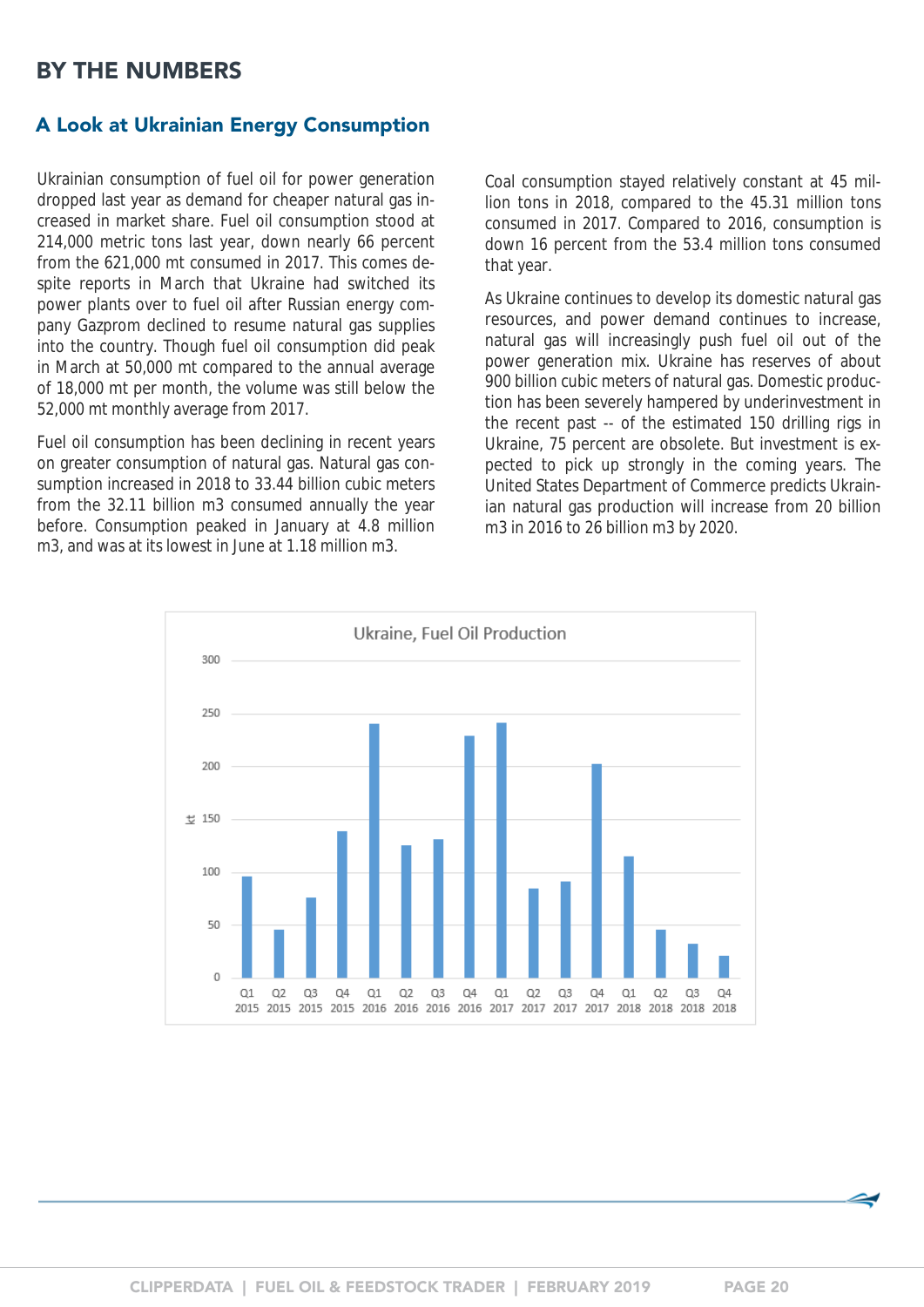## <span id="page-19-0"></span>BY THE NUMBERS

#### A Look at Ukrainian Energy Consumption

Ukrainian consumption of fuel oil for power generation dropped last year as demand for cheaper natural gas increased in market share. Fuel oil consumption stood at 214,000 metric tons last year, down nearly 66 percent from the 621,000 mt consumed in 2017. This comes despite reports in March that Ukraine had switched its power plants over to fuel oil after Russian energy company Gazprom declined to resume natural gas supplies into the country. Though fuel oil consumption did peak in March at 50,000 mt compared to the annual average of 18,000 mt per month, the volume was still below the 52,000 mt monthly average from 2017.

Fuel oil consumption has been declining in recent years on greater consumption of natural gas. Natural gas consumption increased in 2018 to 33.44 billion cubic meters from the 32.11 billion m3 consumed annually the year before. Consumption peaked in January at 4.8 million m3, and was at its lowest in June at 1.18 million m3.

Coal consumption stayed relatively constant at 45 million tons in 2018, compared to the 45.31 million tons consumed in 2017. Compared to 2016, consumption is down 16 percent from the 53.4 million tons consumed that year.

As Ukraine continues to develop its domestic natural gas resources, and power demand continues to increase, natural gas will increasingly push fuel oil out of the power generation mix. Ukraine has reserves of about 900 billion cubic meters of natural gas. Domestic production has been severely hampered by underinvestment in the recent past -- of the estimated 150 drilling rigs in Ukraine, 75 percent are obsolete. But investment is expected to pick up strongly in the coming years. The United States Department of Commerce predicts Ukrainian natural gas production will increase from 20 billion m3 in 2016 to 26 billion m3 by 2020.

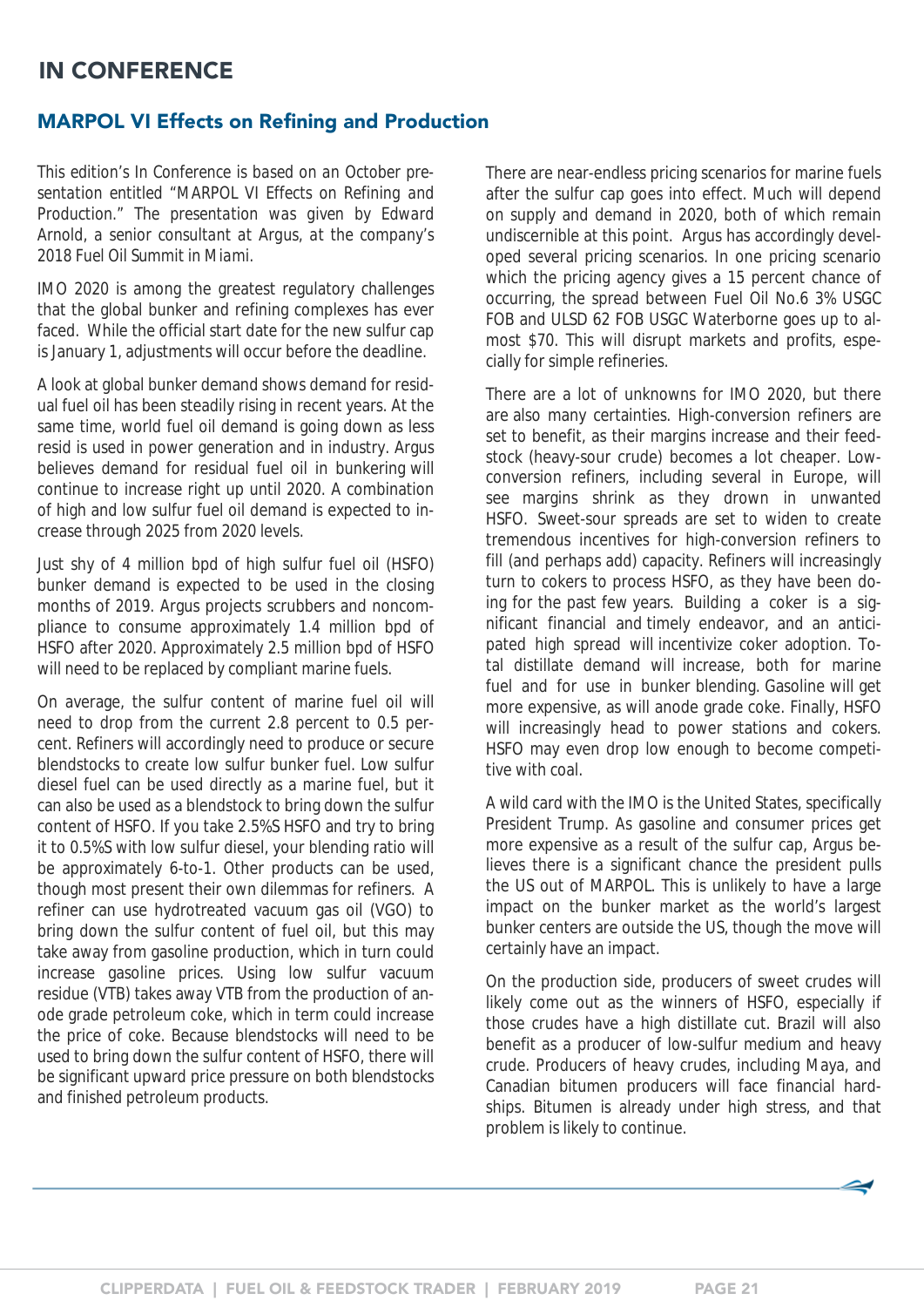## <span id="page-20-0"></span>IN CONFERENCE

### MARPOL VI Effects on Refining and Production

*This edition's In Conference is based on an October presentation entitled "MARPOL VI Effects on Refining and Production." The presentation was given by Edward Arnold, a senior consultant at Argus, at the company's 2018 Fuel Oil Summit in Miami.*

IMO 2020 is among the greatest regulatory challenges that the global bunker and refining complexes has ever faced. While the official start date for the new sulfur cap is January 1, adjustments will occur before the deadline.

A look at global bunker demand shows demand for residual fuel oil has been steadily rising in recent years. At the same time, world fuel oil demand is going down as less resid is used in power generation and in industry. Argus believes demand for residual fuel oil in bunkering will continue to increase right up until 2020. A combination of high and low sulfur fuel oil demand is expected to increase through 2025 from 2020 levels.

Just shy of 4 million bpd of high sulfur fuel oil (HSFO) bunker demand is expected to be used in the closing months of 2019. Argus projects scrubbers and noncompliance to consume approximately 1.4 million bpd of HSFO after 2020. Approximately 2.5 million bpd of HSFO will need to be replaced by compliant marine fuels.

On average, the sulfur content of marine fuel oil will need to drop from the current 2.8 percent to 0.5 percent. Refiners will accordingly need to produce or secure blendstocks to create low sulfur bunker fuel. Low sulfur diesel fuel can be used directly as a marine fuel, but it can also be used as a blendstock to bring down the sulfur content of HSFO. If you take 2.5%S HSFO and try to bring it to 0.5%S with low sulfur diesel, your blending ratio will be approximately 6-to-1. Other products can be used, though most present their own dilemmas for refiners. A refiner can use hydrotreated vacuum gas oil (VGO) to bring down the sulfur content of fuel oil, but this may take away from gasoline production, which in turn could increase gasoline prices. Using low sulfur vacuum residue (VTB) takes away VTB from the production of anode grade petroleum coke, which in term could increase the price of coke. Because blendstocks will need to be used to bring down the sulfur content of HSFO, there will be significant upward price pressure on both blendstocks and finished petroleum products.

There are near-endless pricing scenarios for marine fuels after the sulfur cap goes into effect. Much will depend on supply and demand in 2020, both of which remain undiscernible at this point. Argus has accordingly developed several pricing scenarios. In one pricing scenario which the pricing agency gives a 15 percent chance of occurring, the spread between Fuel Oil No.6 3% USGC FOB and ULSD 62 FOB USGC Waterborne goes up to almost \$70. This will disrupt markets and profits, especially for simple refineries.

There are a lot of unknowns for IMO 2020, but there are also many certainties. High-conversion refiners are set to benefit, as their margins increase and their feedstock (heavy-sour crude) becomes a lot cheaper. Lowconversion refiners, including several in Europe, will see margins shrink as they drown in unwanted HSFO. Sweet-sour spreads are set to widen to create tremendous incentives for high-conversion refiners to fill (and perhaps add) capacity. Refiners will increasingly turn to cokers to process HSFO, as they have been doing for the past few years. Building a coker is a significant financial and timely endeavor, and an anticipated high spread will incentivize coker adoption. Total distillate demand will increase, both for marine fuel and for use in bunker blending. Gasoline will get more expensive, as will anode grade coke. Finally, HSFO will increasingly head to power stations and cokers. HSFO may even drop low enough to become competitive with coal.

A wild card with the IMO is the United States, specifically President Trump. As gasoline and consumer prices get more expensive as a result of the sulfur cap, Argus believes there is a significant chance the president pulls the US out of MARPOL. This is unlikely to have a large impact on the bunker market as the world's largest bunker centers are outside the US, though the move will certainly have an impact.

On the production side, producers of sweet crudes will likely come out as the winners of HSFO, especially if those crudes have a high distillate cut. Brazil will also benefit as a producer of low-sulfur medium and heavy crude. Producers of heavy crudes, including Maya, and Canadian bitumen producers will face financial hardships. Bitumen is already under high stress, and that problem is likely to continue.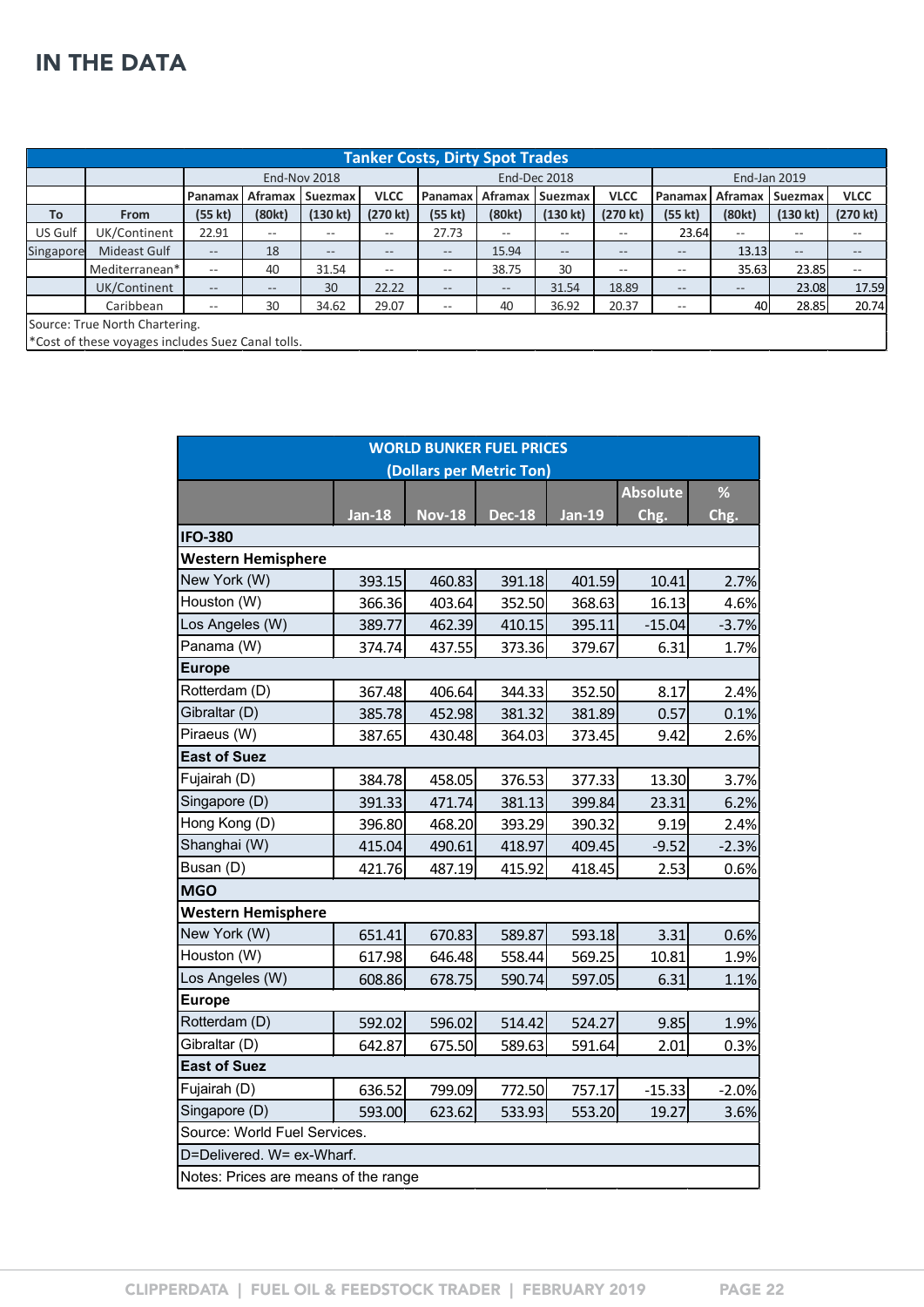# <span id="page-21-0"></span>IN THE DATA

|           | <b>Tanker Costs, Dirty Spot Trades</b>            |                   |                     |                    |                   |                   |                   |                    |                   |                   |                     |                    |                    |
|-----------|---------------------------------------------------|-------------------|---------------------|--------------------|-------------------|-------------------|-------------------|--------------------|-------------------|-------------------|---------------------|--------------------|--------------------|
|           |                                                   |                   | <b>End-Nov 2018</b> |                    |                   |                   | End-Dec 2018      |                    |                   |                   | <b>End-Jan 2019</b> |                    |                    |
|           |                                                   | Panamax           | Aframax             | <b>Suezmax</b>     | <b>VLCC</b>       | Panamax           | Aframax           | <b>Suezmax</b>     | <b>VLCC</b>       | Panamax           | Aframax             | <b>Suezmax</b>     | <b>VLCC</b>        |
| <b>To</b> | <b>From</b>                                       | (55 kt)           | (80kt)              | $(130 \text{ kt})$ | (270 kt)          | (55 kt)           | (80kt)            | $(130 \text{ kt})$ | $(270$ kt)        | (55 kt)           | (80kt)              | $(130 \text{ kt})$ | $(270 \text{ kt})$ |
| US Gulf   | UK/Continent                                      | 22.91             | $- -$               | $- -$              | $- -$             | 27.73             | $- -$             | $- -$              | $- -$             | 23.64             | $\qquad \qquad -$   | $- -$              | --                 |
| Singapore | Mideast Gulf                                      | $- -$             | 18                  | $\qquad \qquad -$  | $\qquad \qquad -$ | $\qquad \qquad -$ | 15.94             | $\qquad \qquad -$  | $\qquad \qquad -$ | $\qquad \qquad -$ | 13.13               | $\qquad \qquad -$  | $- -$              |
|           | Mediterranean*                                    | $- -$             | 40                  | 31.54              | $- -$             | $- -$             | 38.75             | 30                 | $- -$             | $- -$             | 35.63               | 23.85              | --                 |
|           | UK/Continent                                      | $\qquad \qquad -$ | $- -$               | 30                 | 22.22             | $\qquad \qquad -$ | $\qquad \qquad -$ | 31.54              | 18.89             | $\qquad \qquad -$ | $\qquad \qquad -$   | 23.08              | 17.59              |
|           | Caribbean                                         | $- -$             | 30                  | 34.62              | 29.07             | $- -$             | 40                | 36.92              | 20.37             | $- -$             | 40                  | 28.85              | 20.74              |
|           | Source: True North Chartering.                    |                   |                     |                    |                   |                   |                   |                    |                   |                   |                     |                    |                    |
|           | *Cost of these voyages includes Suez Canal tolls. |                   |                     |                    |                   |                   |                   |                    |                   |                   |                     |                    |                    |

| <b>WORLD BUNKER FUEL PRICES</b>      |               |               |                          |               |                 |         |  |  |  |
|--------------------------------------|---------------|---------------|--------------------------|---------------|-----------------|---------|--|--|--|
|                                      |               |               | (Dollars per Metric Ton) |               |                 |         |  |  |  |
|                                      |               |               |                          |               | <b>Absolute</b> | %       |  |  |  |
|                                      | <b>Jan-18</b> | <b>Nov-18</b> | <b>Dec-18</b>            | <b>Jan-19</b> | Chg.            | Chg.    |  |  |  |
| <b>IFO-380</b>                       |               |               |                          |               |                 |         |  |  |  |
| <b>Western Hemisphere</b>            |               |               |                          |               |                 |         |  |  |  |
| New York (W)                         | 393.15        | 460.83        | 391.18                   | 401.59        | 10.41           | 2.7%    |  |  |  |
| Houston (W)                          | 366.36        | 403.64        | 352.50                   | 368.63        | 16.13           | 4.6%    |  |  |  |
| Los Angeles (W)                      | 389.77        | 462.39        | 410.15                   | 395.11        | $-15.04$        | $-3.7%$ |  |  |  |
| Panama (W)                           | 374.74        | 437.55        | 373.36                   | 379.67        | 6.31            | 1.7%    |  |  |  |
| <b>Europe</b>                        |               |               |                          |               |                 |         |  |  |  |
| Rotterdam (D)                        | 367.48        | 406.64        | 344.33                   | 352.50        | 8.17            | 2.4%    |  |  |  |
| Gibraltar (D)                        | 385.78        | 452.98        | 381.32                   | 381.89        | 0.57            | 0.1%    |  |  |  |
| Piraeus (W)                          | 387.65        | 430.48        | 364.03                   | 373.45        | 9.42            | 2.6%    |  |  |  |
| <b>East of Suez</b>                  |               |               |                          |               |                 |         |  |  |  |
| Fujairah (D)                         | 384.78        | 458.05        | 376.53                   | 377.33        | 13.30           | 3.7%    |  |  |  |
| Singapore (D)                        | 391.33        | 471.74        | 381.13                   | 399.84        | 23.31           | 6.2%    |  |  |  |
| Hong Kong (D)                        | 396.80        | 468.20        | 393.29                   | 390.32        | 9.19            | 2.4%    |  |  |  |
| Shanghai (W)                         | 415.04        | 490.61        | 418.97                   | 409.45        | $-9.52$         | $-2.3%$ |  |  |  |
| Busan (D)                            | 421.76        | 487.19        | 415.92                   | 418.45        | 2.53            | 0.6%    |  |  |  |
| <b>MGO</b>                           |               |               |                          |               |                 |         |  |  |  |
| <b>Western Hemisphere</b>            |               |               |                          |               |                 |         |  |  |  |
| New York (W)                         | 651.41        | 670.83        | 589.87                   | 593.18        | 3.31            | 0.6%    |  |  |  |
| Houston (W)                          | 617.98        | 646.48        | 558.44                   | 569.25        | 10.81           | 1.9%    |  |  |  |
| Los Angeles (W)                      | 608.86        | 678.75        | 590.74                   | 597.05        | 6.31            | 1.1%    |  |  |  |
| <b>Europe</b>                        |               |               |                          |               |                 |         |  |  |  |
| Rotterdam (D)                        | 592.02        | 596.02        | 514.42                   | 524.27        | 9.85            | 1.9%    |  |  |  |
| Gibraltar (D)                        | 642.87        | 675.50        | 589.63                   | 591.64        | 2.01            | 0.3%    |  |  |  |
| <b>East of Suez</b>                  |               |               |                          |               |                 |         |  |  |  |
| Fujairah (D)                         | 636.52        | 799.09        | 772.50                   | 757.17        | $-15.33$        | $-2.0%$ |  |  |  |
| Singapore (D)                        | 593.00        | 623.62        | 533.93                   | 553.20        | 19.27           | 3.6%    |  |  |  |
| Source: World Fuel Services.         |               |               |                          |               |                 |         |  |  |  |
| D=Delivered, W= ex-Wharf.            |               |               |                          |               |                 |         |  |  |  |
| Notes: Prices are means of the range |               |               |                          |               |                 |         |  |  |  |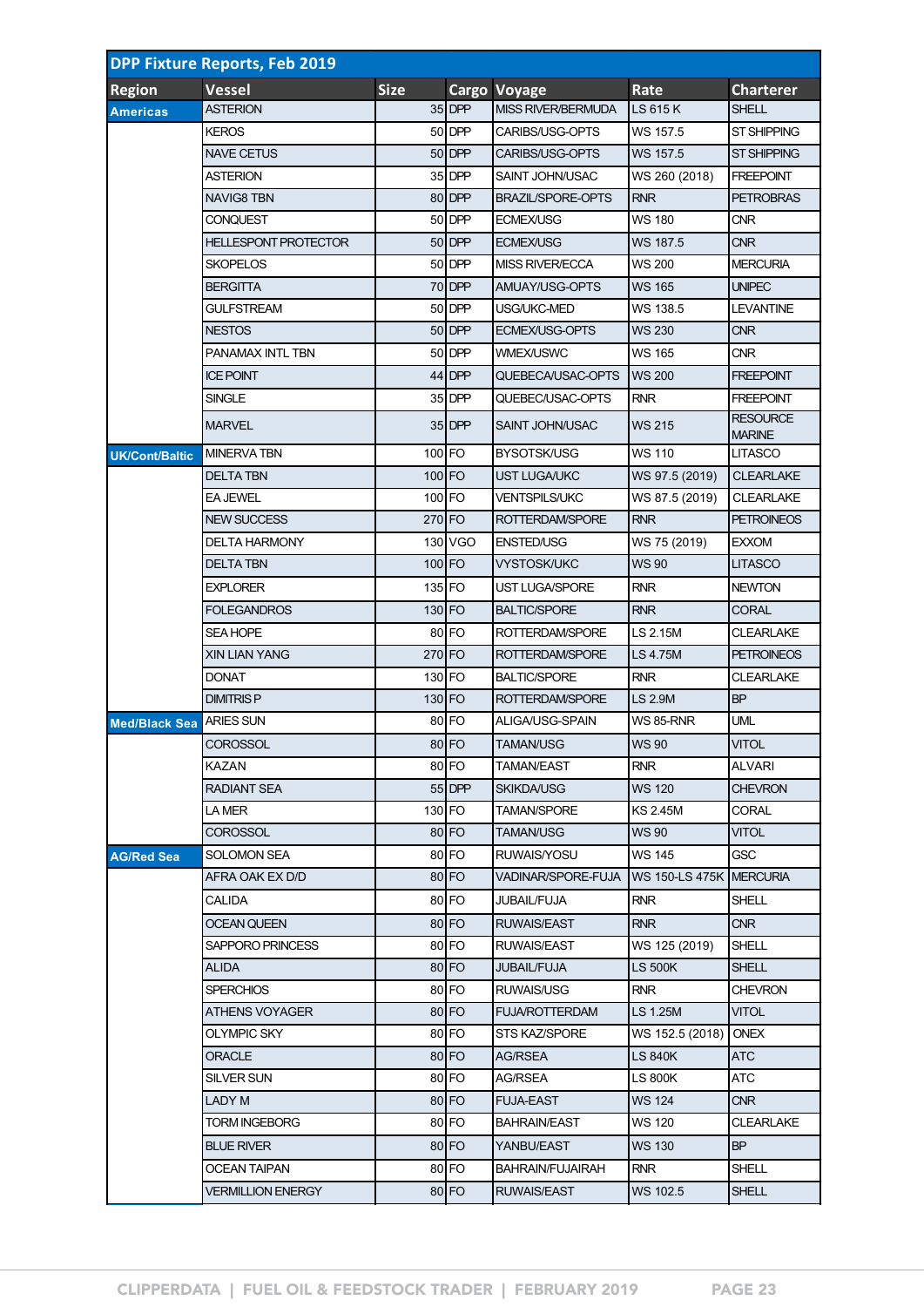| <b>DPP Fixture Reports, Feb 2019</b> |                             |             |          |                          |                         |                                  |  |  |  |  |
|--------------------------------------|-----------------------------|-------------|----------|--------------------------|-------------------------|----------------------------------|--|--|--|--|
| <b>Region</b>                        | <b>Vessel</b>               | <b>Size</b> |          | Cargo Voyage             | Rate                    | <b>Charterer</b>                 |  |  |  |  |
| <b>Americas</b>                      | <b>ASTERION</b>             |             | $35$ DPP | MISS RIVER/BERMUDA       | LS 615 K                | <b>SHELL</b>                     |  |  |  |  |
|                                      | <b>KEROS</b>                |             | 50 DPP   | CARIBS/USG-OPTS          | WS 157.5                | ST SHIPPING                      |  |  |  |  |
|                                      | <b>NAVE CETUS</b>           |             | $50$ DPP | CARIBS/USG-OPTS          | WS 157.5                | <b>ST SHIPPING</b>               |  |  |  |  |
|                                      | <b>ASTERION</b>             |             | $35$ DPP | SAINT JOHN/USAC          | WS 260 (2018)           | <b>FREEPOINT</b>                 |  |  |  |  |
|                                      | <b>NAVIG8 TBN</b>           |             | 80 DPP   | <b>BRAZIL/SPORE-OPTS</b> | <b>RNR</b>              | <b>PETROBRAS</b>                 |  |  |  |  |
|                                      | <b>CONQUEST</b>             |             | 50 DPP   | <b>ECMEX/USG</b>         | <b>WS 180</b>           | <b>CNR</b>                       |  |  |  |  |
|                                      | <b>HELLESPONT PROTECTOR</b> |             | $50$ DPP | <b>ECMEX/USG</b>         | WS 187.5                | <b>CNR</b>                       |  |  |  |  |
|                                      | <b>SKOPELOS</b>             |             | 50 DPP   | <b>MISS RIVER/ECCA</b>   | WS 200                  | <b>MERCURIA</b>                  |  |  |  |  |
|                                      | <b>BERGITTA</b>             |             | 70 DPP   | AMUAY/USG-OPTS           | <b>WS 165</b>           | <b>UNIPEC</b>                    |  |  |  |  |
|                                      | <b>GULFSTREAM</b>           |             | 50 DPP   | USG/UKC-MED              | WS 138.5                | <b>LEVANTINE</b>                 |  |  |  |  |
|                                      | <b>NESTOS</b>               |             | $50$ DPP | <b>ECMEX/USG-OPTS</b>    | WS 230                  | <b>CNR</b>                       |  |  |  |  |
|                                      | PANAMAX INTL TBN            |             | 50 DPP   | <b>WMEX/USWC</b>         | <b>WS 165</b>           | <b>CNR</b>                       |  |  |  |  |
|                                      | <b>ICE POINT</b>            |             | $44$ DPP | QUEBECA/USAC-OPTS        | <b>WS 200</b>           | <b>FREEPOINT</b>                 |  |  |  |  |
|                                      | <b>SINGLE</b>               |             | 35 DPP   | QUEBEC/USAC-OPTS         | <b>RNR</b>              | <b>FREEPOINT</b>                 |  |  |  |  |
|                                      | <b>MARVEL</b>               |             | $35$ DPP | <b>SAINT JOHN/USAC</b>   | <b>WS 215</b>           | <b>RESOURCE</b><br><b>MARINE</b> |  |  |  |  |
| <b>UK/Cont/Baltic</b>                | <b>MINERVA TBN</b>          | $100$ FO    |          | BYSOTSK/USG              | WS 110                  | <b>LITASCO</b>                   |  |  |  |  |
|                                      | <b>DELTA TBN</b>            | $100$ FO    |          | <b>UST LUGA/UKC</b>      | WS 97.5 (2019)          | <b>CLEARLAKE</b>                 |  |  |  |  |
|                                      | <b>EA JEWEL</b>             | 100 FO      |          | <b>VENTSPILS/UKC</b>     | WS 87.5 (2019)          | <b>CLEARLAKE</b>                 |  |  |  |  |
|                                      | <b>NEW SUCCESS</b>          | 270 FO      |          | ROTTERDAM/SPORE          | <b>RNR</b>              | <b>PETROINEOS</b>                |  |  |  |  |
|                                      | <b>DELTA HARMONY</b>        |             | 130 VGO  | <b>ENSTED/USG</b>        | WS 75 (2019)            | <b>EXXOM</b>                     |  |  |  |  |
|                                      | <b>DELTA TBN</b>            | $100$ FO    |          | <b>VYSTOSK/UKC</b>       | <b>WS 90</b>            | <b>LITASCO</b>                   |  |  |  |  |
|                                      | <b>EXPLORER</b>             | 135 FO      |          | <b>UST LUGA/SPORE</b>    | <b>RNR</b>              | <b>NEWTON</b>                    |  |  |  |  |
|                                      | <b>FOLEGANDROS</b>          | $130$ FO    |          | <b>BALTIC/SPORE</b>      | <b>RNR</b>              | <b>CORAL</b>                     |  |  |  |  |
|                                      | <b>SEA HOPE</b>             |             | 80 FO    | ROTTERDAM/SPORE          | LS 2.15M                | <b>CLEARLAKE</b>                 |  |  |  |  |
|                                      | <b>XIN LIAN YANG</b>        | 270 FO      |          | ROTTERDAM/SPORE          | LS 4.75M                | <b>PETROINEOS</b>                |  |  |  |  |
|                                      | <b>DONAT</b>                | 130 FO      |          | <b>BALTIC/SPORE</b>      | <b>RNR</b>              | <b>CLEARLAKE</b>                 |  |  |  |  |
|                                      | <b>DIMITRISP</b>            | 130 FO      |          | ROTTERDAM/SPORE          | <b>LS 2.9M</b>          | <b>BP</b>                        |  |  |  |  |
| <b>Med/Black Sea</b>                 | <b>ARIES SUN</b>            |             | 80 FO    | ALIGA/USG-SPAIN          | WS 85-RNR               | UML                              |  |  |  |  |
|                                      | COROSSOL                    |             | 80 FO    | <b>TAMAN/USG</b>         | <b>WS 90</b>            | <b>VITOL</b>                     |  |  |  |  |
|                                      | KAZAN                       |             | 80 FO    | TAMAN/EAST               | RNR                     | ALVARI                           |  |  |  |  |
|                                      | RADIANT SEA                 |             | $55$ DPP | <b>SKIKDA/USG</b>        | <b>WS 120</b>           | <b>CHEVRON</b>                   |  |  |  |  |
|                                      | LA MER                      | 130 FO      |          | <b>TAMAN/SPORE</b>       | <b>KS 2.45M</b>         | <b>CORAL</b>                     |  |  |  |  |
|                                      | <b>COROSSOL</b>             |             | 80 FO    | TAMAN/USG                | WS 90                   | <b>VITOL</b>                     |  |  |  |  |
| <b>AG/Red Sea</b>                    | <b>SOLOMON SEA</b>          |             | 80 FO    | RUWAIS/YOSU              | <b>WS 145</b>           | <b>GSC</b>                       |  |  |  |  |
|                                      | AFRA OAK EX D/D             |             | 80 FO    | VADINAR/SPORE-FUJA       | WS 150-LS 475K MERCURIA |                                  |  |  |  |  |
|                                      | CALIDA                      |             | 80 FO    | <b>JUBAIL/FUJA</b>       | <b>RNR</b>              | <b>SHELL</b>                     |  |  |  |  |
|                                      | <b>OCEAN QUEEN</b>          |             | 80 FO    | <b>RUWAIS/EAST</b>       | <b>RNR</b>              | <b>CNR</b>                       |  |  |  |  |
|                                      | SAPPORO PRINCESS            |             | 80 FO    | <b>RUWAIS/EAST</b>       | WS 125 (2019)           | SHELL                            |  |  |  |  |
|                                      | ALIDA                       |             | 80 FO    | <b>JUBAIL/FUJA</b>       | <b>LS 500K</b>          | <b>SHELL</b>                     |  |  |  |  |
|                                      | <b>SPERCHIOS</b>            |             | 80 FO    | RUWAIS/USG               | <b>RNR</b>              | <b>CHEVRON</b>                   |  |  |  |  |
|                                      | ATHENS VOYAGER              |             | 80 FO    | <b>FUJA/ROTTERDAM</b>    | LS 1.25M                | <b>VITOL</b>                     |  |  |  |  |
|                                      | OLYMPIC SKY                 |             | 80 FO    | STS KAZ/SPORE            | WS 152.5 (2018)         | <b>ONEX</b>                      |  |  |  |  |
|                                      | ORACLE                      |             | 80 FO    | AG/RSEA                  | <b>LS 840K</b>          | ATC                              |  |  |  |  |
|                                      | SILVER SUN                  |             | 80 FO    | AG/RSEA                  | LS 800K                 | ATC                              |  |  |  |  |
|                                      | LADY M                      |             | 80 FO    | <b>FUJA-EAST</b>         | <b>WS 124</b>           | <b>CNR</b>                       |  |  |  |  |
|                                      | <b>TORM INGEBORG</b>        |             | 80 FO    | <b>BAHRAIN/EAST</b>      | WS 120                  | <b>CLEARLAKE</b>                 |  |  |  |  |
|                                      | <b>BLUE RIVER</b>           |             | 80 FO    | YANBU/EAST               | <b>WS 130</b>           | <b>BP</b>                        |  |  |  |  |
|                                      | <b>OCEAN TAIPAN</b>         |             | 80 FO    | <b>BAHRAIN/FUJAIRAH</b>  | <b>RNR</b>              | SHELL                            |  |  |  |  |
|                                      | <b>VERMILLION ENERGY</b>    |             | $80$ FO  | RUWAIS/EAST              | WS 102.5                | <b>SHELL</b>                     |  |  |  |  |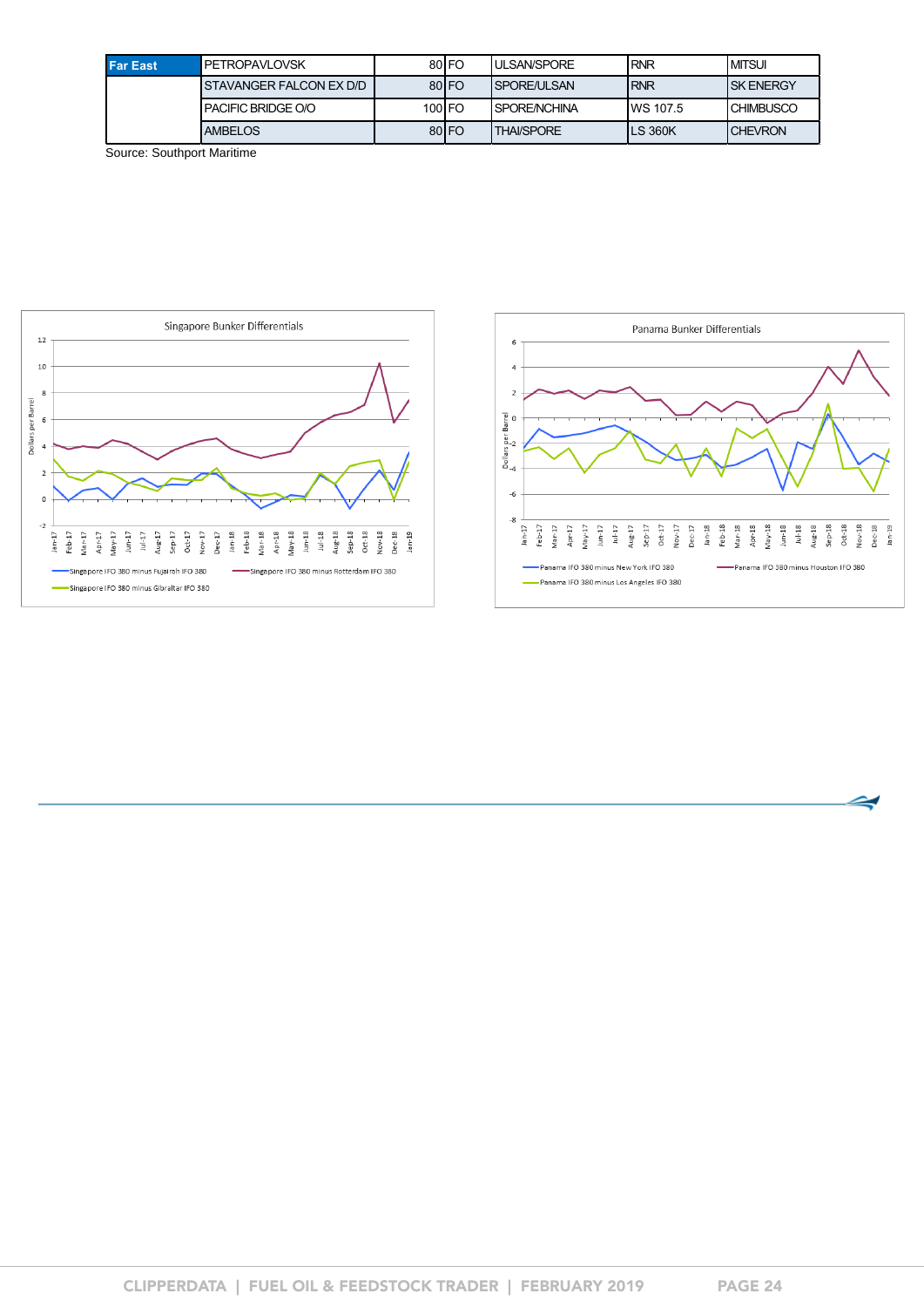| <b>Far East</b> | <b>PETROPAVLOVSK</b>     |          | 80 <sub>IFO</sub> | <b>ULSAN/SPORE</b> | <b>RNR</b> | <b>MITSUL</b>     |
|-----------------|--------------------------|----------|-------------------|--------------------|------------|-------------------|
|                 | ISTAVANGER FALCON EX D/D |          | 80 <sub>IFO</sub> | ISPORE/ULSAN       | <b>RNR</b> | <b>ISK ENERGY</b> |
|                 | PACIFIC BRIDGE O/O       | $100$ FO |                   | I SPORE/NCHINA     | IWS 107.5  | <b>CHIMBUSCO</b>  |
|                 | <b>AMBELOS</b>           |          | 80 <sub>IFO</sub> | <b>THAI/SPORE</b>  | LS 360K    | <b>ICHEVRON</b>   |

Source: Southport Maritime